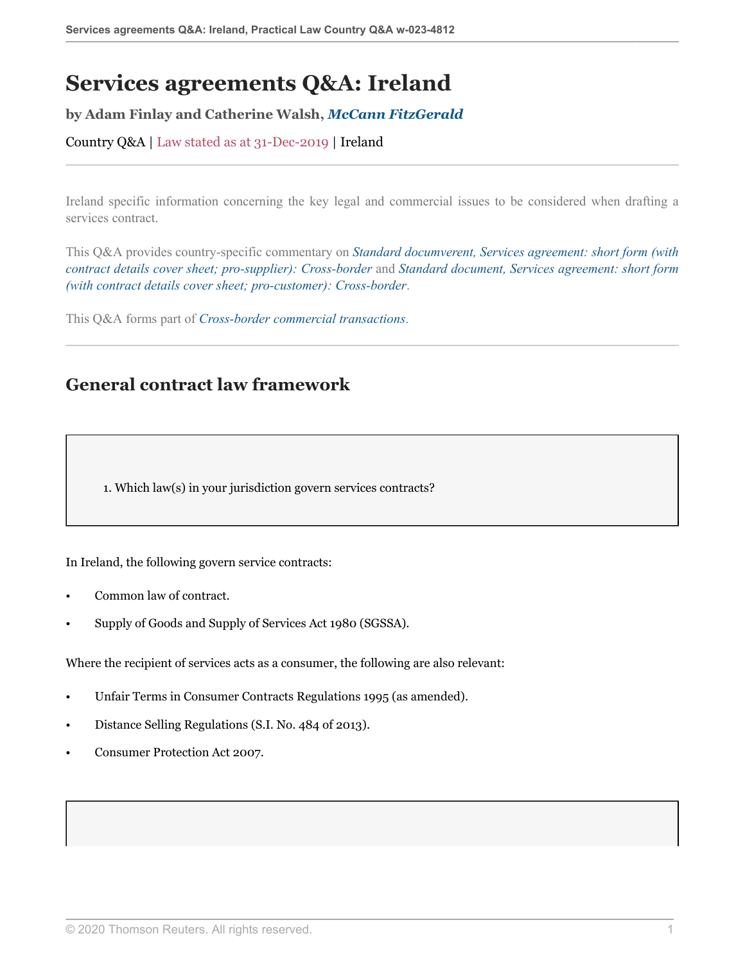# **Services agreements Q&A: Ireland**

#### **by Adam Finlay and Catherine Walsh,** *[McCann FitzGerald](https://uk.practicallaw.thomsonreuters.com/Browse/Home/About/Contributor/McCannFitzGerald )*

Country Q&A | Law stated as at 31-Dec-2019 | Ireland

Ireland specific information concerning the key legal and commercial issues to be considered when drafting a services contract.

This Q&A provides country-specific commentary on *[Standard documverent, Services agreement: short form \(with](http://uk.practicallaw.thomsonreuters.com/w-017-0144?originationContext=document&vr=3.0&rs=PLUK1.0&transitionType=DocumentItem&contextData=(sc.Default)) [contract details cover sheet; pro-supplier\): Cross-border](http://uk.practicallaw.thomsonreuters.com/w-017-0144?originationContext=document&vr=3.0&rs=PLUK1.0&transitionType=DocumentItem&contextData=(sc.Default))* and *[Standard document, Services agreement: short form](http://uk.practicallaw.thomsonreuters.com/w-017-0148?originationContext=document&vr=3.0&rs=PLUK1.0&transitionType=DocumentItem&contextData=(sc.Default)) [\(with contract details cover sheet; pro-customer\): Cross-border](http://uk.practicallaw.thomsonreuters.com/w-017-0148?originationContext=document&vr=3.0&rs=PLUK1.0&transitionType=DocumentItem&contextData=(sc.Default))*.

This Q&A forms part of *[Cross-border commercial transactions](https://uk.practicallaw.thomsonreuters.com/Browse/Home/International/Crossbordercommercialtransactions?contextData=(sc.Default)&transitionType=Default&navId=DFAFFF3B336F5C30FC2D32A2B1E7714D&comp=pluk )*.

# **General contract law framework**

1. Which law(s) in your jurisdiction govern services contracts?

In Ireland, the following govern service contracts:

- Common law of contract.
- Supply of Goods and Supply of Services Act 1980 (SGSSA).

Where the recipient of services acts as a consumer, the following are also relevant:

- Unfair Terms in Consumer Contracts Regulations 1995 (as amended).
- Distance Selling Regulations (S.I. No. 484 of 2013).
- Consumer Protection Act 2007.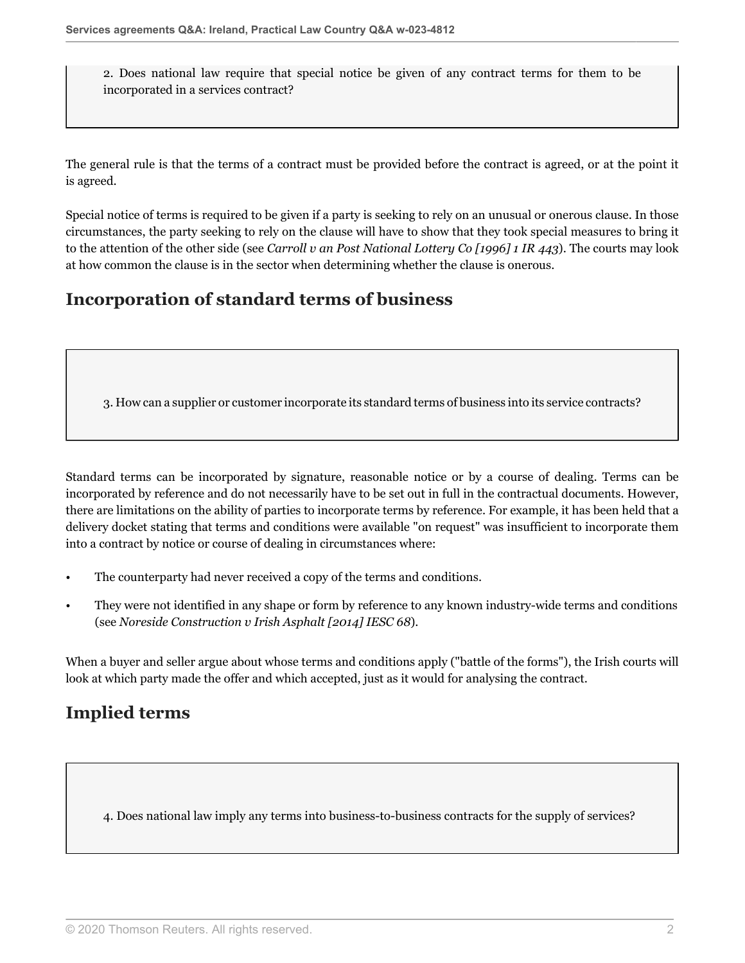2. Does national law require that special notice be given of any contract terms for them to be incorporated in a services contract?

The general rule is that the terms of a contract must be provided before the contract is agreed, or at the point it is agreed.

Special notice of terms is required to be given if a party is seeking to rely on an unusual or onerous clause. In those circumstances, the party seeking to rely on the clause will have to show that they took special measures to bring it to the attention of the other side (see *Carroll v an Post National Lottery Co [1996] 1 IR 443*). The courts may look at how common the clause is in the sector when determining whether the clause is onerous.

# **Incorporation of standard terms of business**

3. How can a supplier or customer incorporate its standard terms of business into its service contracts?

Standard terms can be incorporated by signature, reasonable notice or by a course of dealing. Terms can be incorporated by reference and do not necessarily have to be set out in full in the contractual documents. However, there are limitations on the ability of parties to incorporate terms by reference. For example, it has been held that a delivery docket stating that terms and conditions were available "on request" was insufficient to incorporate them into a contract by notice or course of dealing in circumstances where:

- The counterparty had never received a copy of the terms and conditions.
- They were not identified in any shape or form by reference to any known industry-wide terms and conditions (see *Noreside Construction v Irish Asphalt [2014] IESC 68*).

When a buyer and seller argue about whose terms and conditions apply ("battle of the forms"), the Irish courts will look at which party made the offer and which accepted, just as it would for analysing the contract.

# **Implied terms**

<span id="page-1-0"></span>4. Does national law imply any terms into business-to-business contracts for the supply of services?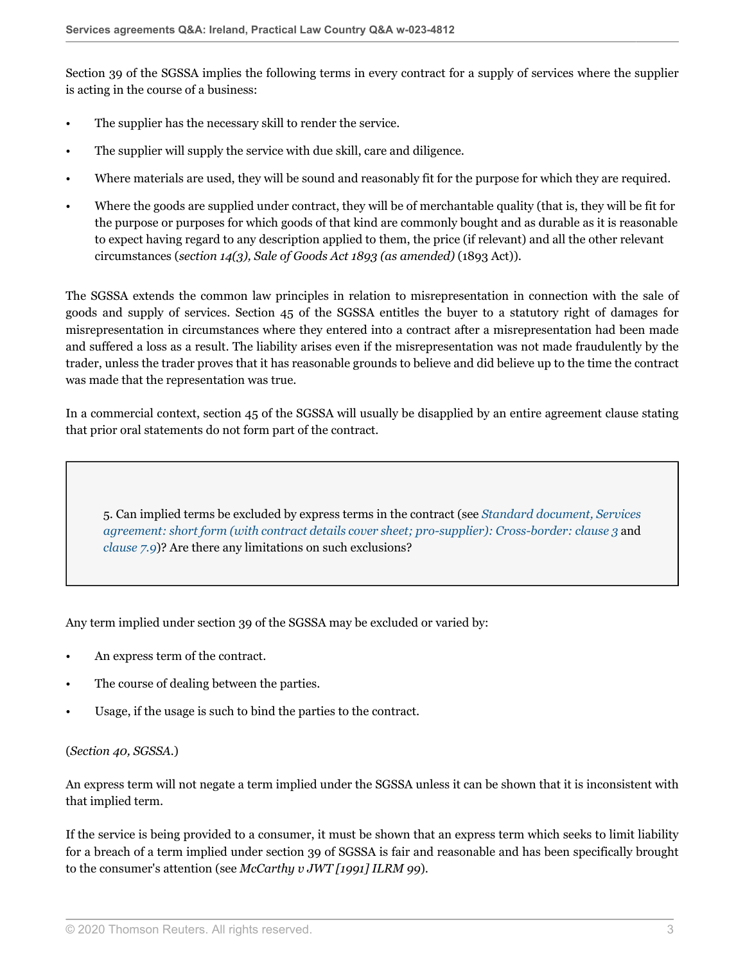Section 39 of the SGSSA implies the following terms in every contract for a supply of services where the supplier is acting in the course of a business:

- The supplier has the necessary skill to render the service.
- The supplier will supply the service with due skill, care and diligence.
- Where materials are used, they will be sound and reasonably fit for the purpose for which they are required.
- Where the goods are supplied under contract, they will be of merchantable quality (that is, they will be fit for the purpose or purposes for which goods of that kind are commonly bought and as durable as it is reasonable to expect having regard to any description applied to them, the price (if relevant) and all the other relevant circumstances (*section 14(3), Sale of Goods Act 1893 (as amended)* (1893 Act)).

The SGSSA extends the common law principles in relation to misrepresentation in connection with the sale of goods and supply of services. Section 45 of the SGSSA entitles the buyer to a statutory right of damages for misrepresentation in circumstances where they entered into a contract after a misrepresentation had been made and suffered a loss as a result. The liability arises even if the misrepresentation was not made fraudulently by the trader, unless the trader proves that it has reasonable grounds to believe and did believe up to the time the contract was made that the representation was true.

In a commercial context, section 45 of the SGSSA will usually be disapplied by an entire agreement clause stating that prior oral statements do not form part of the contract.

<span id="page-2-0"></span>5. Can implied terms be excluded by express terms in the contract (see *[Standard document, Services](http://uk.practicallaw.thomsonreuters.com/w-017-0144?originationContext=document&vr=3.0&rs=PLUK1.0&transitionType=DocumentItem&contextData=(sc.Default)#co_anchor_a449835) [agreement: short form \(with contract details cover sheet; pro-supplier\): Cross-border: clause 3](http://uk.practicallaw.thomsonreuters.com/w-017-0144?originationContext=document&vr=3.0&rs=PLUK1.0&transitionType=DocumentItem&contextData=(sc.Default)#co_anchor_a449835)* and *[clause 7.9](http://uk.practicallaw.thomsonreuters.com/w-017-0144?originationContext=document&vr=3.0&rs=PLUK1.0&transitionType=DocumentItem&contextData=(sc.Default)#co_anchor_a666690)*)? Are there any limitations on such exclusions?

Any term implied under section 39 of the SGSSA may be excluded or varied by:

- An express term of the contract.
- The course of dealing between the parties.
- Usage, if the usage is such to bind the parties to the contract.

#### (*Section 40, SGSSA.*)

An express term will not negate a term implied under the SGSSA unless it can be shown that it is inconsistent with that implied term.

If the service is being provided to a consumer, it must be shown that an express term which seeks to limit liability for a breach of a term implied under section 39 of SGSSA is fair and reasonable and has been specifically brought to the consumer's attention (see *McCarthy v JWT [1991] ILRM 99*).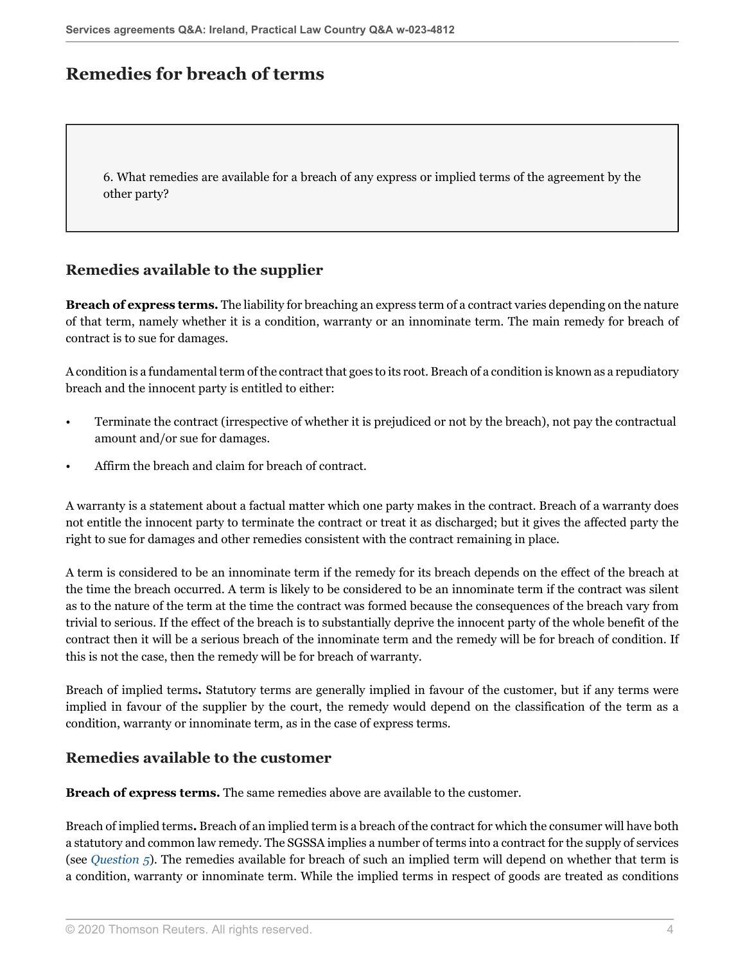## **Remedies for breach of terms**

6. What remedies are available for a breach of any express or implied terms of the agreement by the other party?

### **Remedies available to the supplier**

**Breach of express terms.** The liability for breaching an express term of a contract varies depending on the nature of that term, namely whether it is a condition, warranty or an innominate term. The main remedy for breach of contract is to sue for damages.

A condition is a fundamental term of the contract that goes to its root. Breach of a condition is known as a repudiatory breach and the innocent party is entitled to either:

- Terminate the contract (irrespective of whether it is prejudiced or not by the breach), not pay the contractual amount and/or sue for damages.
- Affirm the breach and claim for breach of contract.

A warranty is a statement about a factual matter which one party makes in the contract. Breach of a warranty does not entitle the innocent party to terminate the contract or treat it as discharged; but it gives the affected party the right to sue for damages and other remedies consistent with the contract remaining in place.

A term is considered to be an innominate term if the remedy for its breach depends on the effect of the breach at the time the breach occurred. A term is likely to be considered to be an innominate term if the contract was silent as to the nature of the term at the time the contract was formed because the consequences of the breach vary from trivial to serious. If the effect of the breach is to substantially deprive the innocent party of the whole benefit of the contract then it will be a serious breach of the innominate term and the remedy will be for breach of condition. If this is not the case, then the remedy will be for breach of warranty.

Breach of implied terms**.** Statutory terms are generally implied in favour of the customer, but if any terms were implied in favour of the supplier by the court, the remedy would depend on the classification of the term as a condition, warranty or innominate term, as in the case of express terms.

#### **Remedies available to the customer**

**Breach of express terms.** The same remedies above are available to the customer.

Breach of implied terms**.** Breach of an implied term is a breach of the contract for which the consumer will have both a statutory and common law remedy. The SGSSA implies a number of terms into a contract for the supply of services (see *[Question 5](#page-2-0)*). The remedies available for breach of such an implied term will depend on whether that term is a condition, warranty or innominate term. While the implied terms in respect of goods are treated as conditions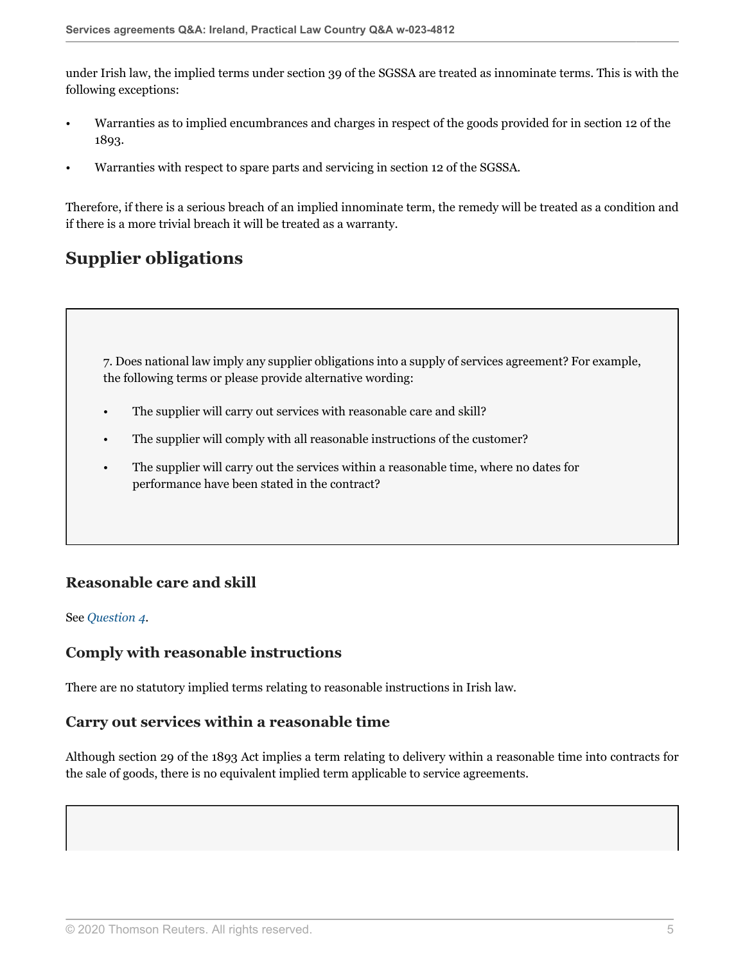under Irish law, the implied terms under section 39 of the SGSSA are treated as innominate terms. This is with the following exceptions:

- Warranties as to implied encumbrances and charges in respect of the goods provided for in section 12 of the 1893.
- Warranties with respect to spare parts and servicing in section 12 of the SGSSA.

Therefore, if there is a serious breach of an implied innominate term, the remedy will be treated as a condition and if there is a more trivial breach it will be treated as a warranty.

# **Supplier obligations**

7. Does national law imply any supplier obligations into a supply of services agreement? For example, the following terms or please provide alternative wording:

- The supplier will carry out services with reasonable care and skill?
- The supplier will comply with all reasonable instructions of the customer?
- The supplier will carry out the services within a reasonable time, where no dates for performance have been stated in the contract?

## **Reasonable care and skill**

#### See *[Question 4](#page-1-0)*.

### **Comply with reasonable instructions**

There are no statutory implied terms relating to reasonable instructions in Irish law.

#### **Carry out services within a reasonable time**

Although section 29 of the 1893 Act implies a term relating to delivery within a reasonable time into contracts for the sale of goods, there is no equivalent implied term applicable to service agreements.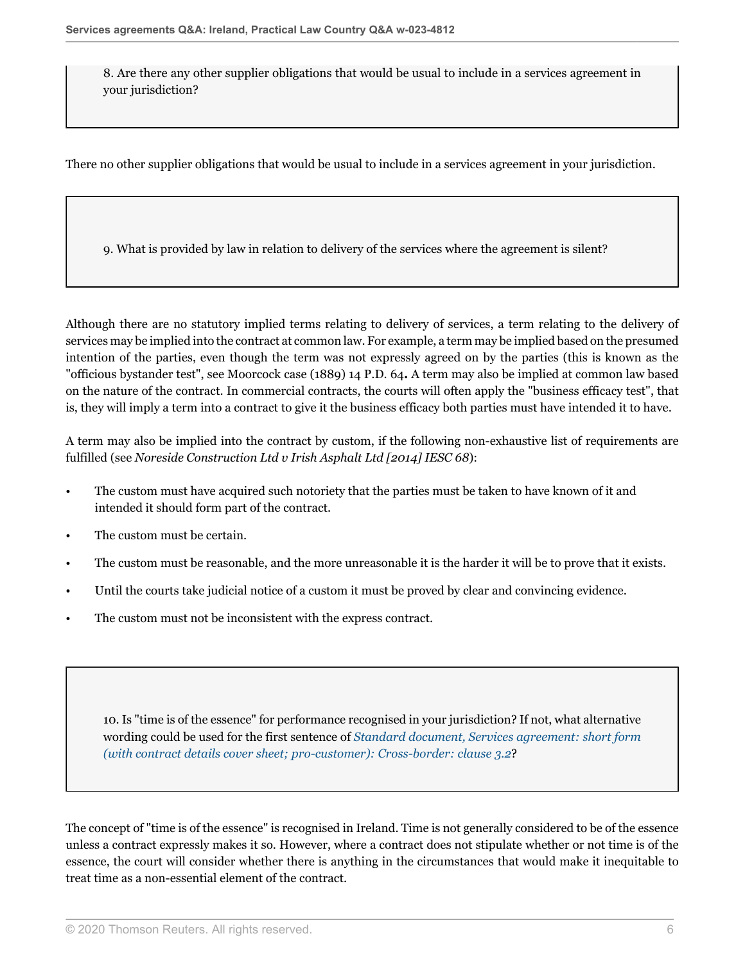8. Are there any other supplier obligations that would be usual to include in a services agreement in your jurisdiction?

There no other supplier obligations that would be usual to include in a services agreement in your jurisdiction.

9. What is provided by law in relation to delivery of the services where the agreement is silent?

Although there are no statutory implied terms relating to delivery of services, a term relating to the delivery of services may be implied into the contract at common law. For example, a term may be implied based on the presumed intention of the parties, even though the term was not expressly agreed on by the parties (this is known as the "officious bystander test", see Moorcock case (1889) 14 P.D. 64**.** A term may also be implied at common law based on the nature of the contract. In commercial contracts, the courts will often apply the "business efficacy test", that is, they will imply a term into a contract to give it the business efficacy both parties must have intended it to have.

A term may also be implied into the contract by custom, if the following non-exhaustive list of requirements are fulfilled (see *Noreside Construction Ltd v Irish Asphalt Ltd [2014] IESC 68*):

- The custom must have acquired such notoriety that the parties must be taken to have known of it and intended it should form part of the contract.
- The custom must be certain.
- The custom must be reasonable, and the more unreasonable it is the harder it will be to prove that it exists.
- Until the courts take judicial notice of a custom it must be proved by clear and convincing evidence.
- The custom must not be inconsistent with the express contract.

10. Is "time is of the essence" for performance recognised in your jurisdiction? If not, what alternative wording could be used for the first sentence of *[Standard document, Services agreement: short form](http://uk.practicallaw.thomsonreuters.com/w-017-0148?originationContext=document&vr=3.0&rs=PLUK1.0&transitionType=DocumentItem&contextData=(sc.Default)#co_anchor_a430857) [\(with contract details cover sheet; pro-customer\): Cross-border: clause 3.2](http://uk.practicallaw.thomsonreuters.com/w-017-0148?originationContext=document&vr=3.0&rs=PLUK1.0&transitionType=DocumentItem&contextData=(sc.Default)#co_anchor_a430857)*?

The concept of "time is of the essence" is recognised in Ireland. Time is not generally considered to be of the essence unless a contract expressly makes it so. However, where a contract does not stipulate whether or not time is of the essence, the court will consider whether there is anything in the circumstances that would make it inequitable to treat time as a non-essential element of the contract.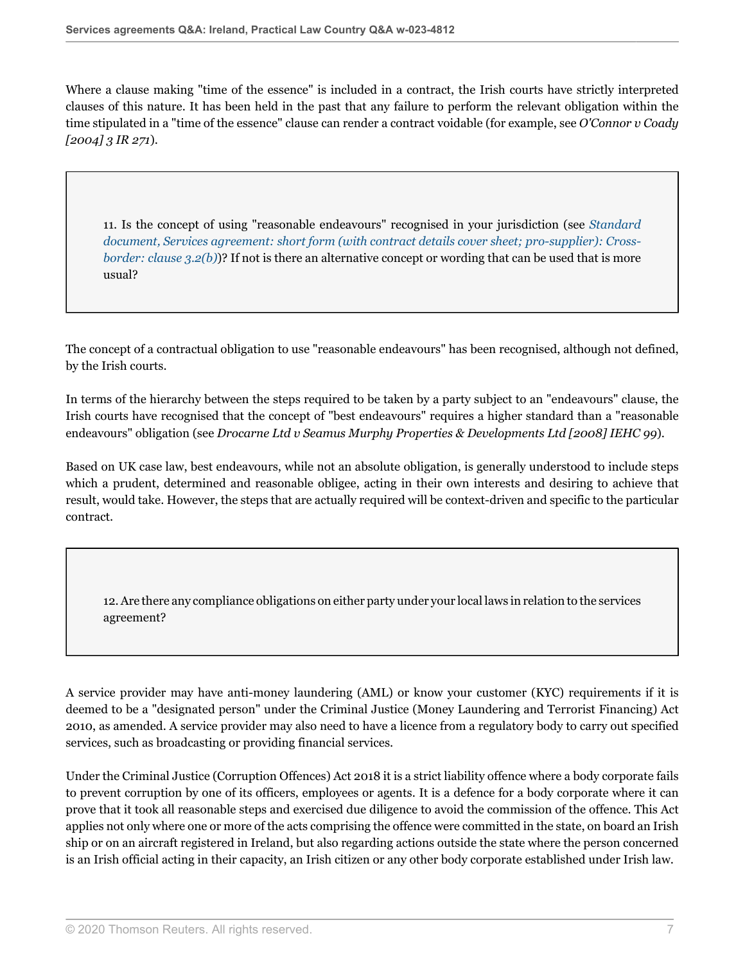Where a clause making "time of the essence" is included in a contract, the Irish courts have strictly interpreted clauses of this nature. It has been held in the past that any failure to perform the relevant obligation within the time stipulated in a "time of the essence" clause can render a contract voidable (for example, see *O'Connor v Coady [2004] 3 IR 271*).

11. Is the concept of using "reasonable endeavours" recognised in your jurisdiction (see *[Standard](http://uk.practicallaw.thomsonreuters.com/w-017-0144?originationContext=document&vr=3.0&rs=PLUK1.0&transitionType=DocumentItem&contextData=(sc.Default)#co_anchor_a292000) [document, Services agreement: short form \(with contract details cover sheet; pro-supplier\): Cross](http://uk.practicallaw.thomsonreuters.com/w-017-0144?originationContext=document&vr=3.0&rs=PLUK1.0&transitionType=DocumentItem&contextData=(sc.Default)#co_anchor_a292000)[border: clause 3.2\(b\)](http://uk.practicallaw.thomsonreuters.com/w-017-0144?originationContext=document&vr=3.0&rs=PLUK1.0&transitionType=DocumentItem&contextData=(sc.Default)#co_anchor_a292000))*? If not is there an alternative concept or wording that can be used that is more usual?

The concept of a contractual obligation to use "reasonable endeavours" has been recognised, although not defined, by the Irish courts.

In terms of the hierarchy between the steps required to be taken by a party subject to an "endeavours" clause, the Irish courts have recognised that the concept of "best endeavours" requires a higher standard than a "reasonable endeavours" obligation (see *Drocarne Ltd v Seamus Murphy Properties & Developments Ltd [2008] IEHC 99*).

Based on UK case law, best endeavours, while not an absolute obligation, is generally understood to include steps which a prudent, determined and reasonable obligee, acting in their own interests and desiring to achieve that result, would take. However, the steps that are actually required will be context-driven and specific to the particular contract.

12. Are there any compliance obligations on either party under your local laws in relation to the services agreement?

A service provider may have anti-money laundering (AML) or know your customer (KYC) requirements if it is deemed to be a "designated person" under the Criminal Justice (Money Laundering and Terrorist Financing) Act 2010, as amended. A service provider may also need to have a licence from a regulatory body to carry out specified services, such as broadcasting or providing financial services.

Under the Criminal Justice (Corruption Offences) Act 2018 it is a strict liability offence where a body corporate fails to prevent corruption by one of its officers, employees or agents. It is a defence for a body corporate where it can prove that it took all reasonable steps and exercised due diligence to avoid the commission of the offence. This Act applies not only where one or more of the acts comprising the offence were committed in the state, on board an Irish ship or on an aircraft registered in Ireland, but also regarding actions outside the state where the person concerned is an Irish official acting in their capacity, an Irish citizen or any other body corporate established under Irish law.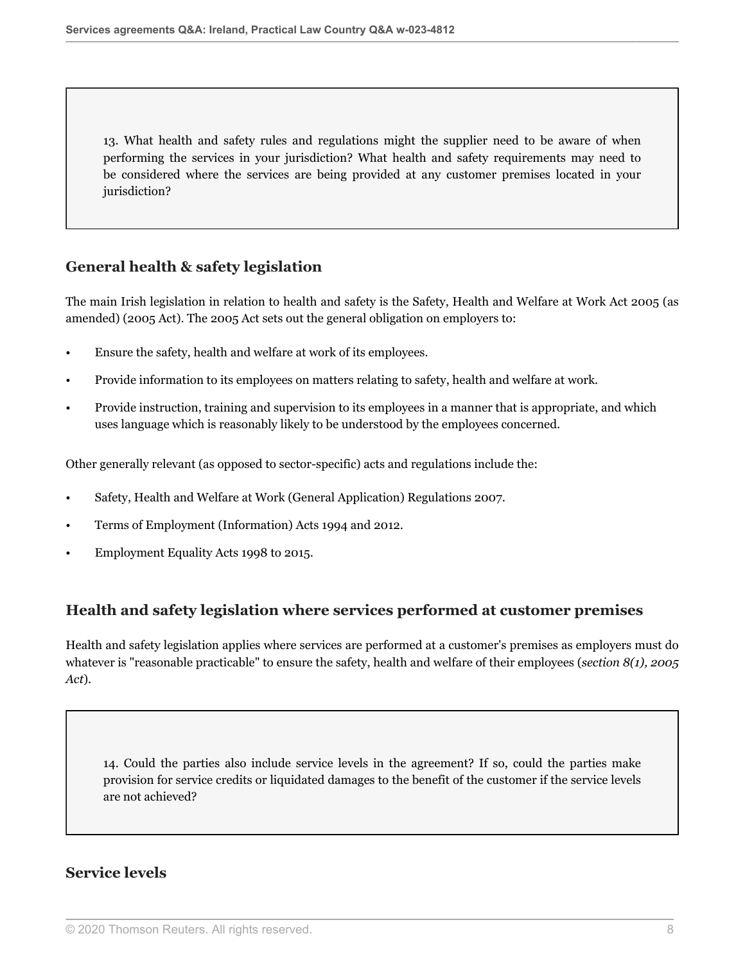13. What health and safety rules and regulations might the supplier need to be aware of when performing the services in your jurisdiction? What health and safety requirements may need to be considered where the services are being provided at any customer premises located in your jurisdiction?

## **General health & safety legislation**

The main Irish legislation in relation to health and safety is the Safety, Health and Welfare at Work Act 2005 (as amended) (2005 Act). The 2005 Act sets out the general obligation on employers to:

- Ensure the safety, health and welfare at work of its employees.
- Provide information to its employees on matters relating to safety, health and welfare at work.
- Provide instruction, training and supervision to its employees in a manner that is appropriate, and which uses language which is reasonably likely to be understood by the employees concerned.

Other generally relevant (as opposed to sector-specific) acts and regulations include the:

- Safety, Health and Welfare at Work (General Application) Regulations 2007.
- Terms of Employment (Information) Acts 1994 and 2012.
- Employment Equality Acts 1998 to 2015.

### **Health and safety legislation where services performed at customer premises**

Health and safety legislation applies where services are performed at a customer's premises as employers must do whatever is "reasonable practicable" to ensure the safety, health and welfare of their employees (*section 8(1), 2005 Act*).

14. Could the parties also include service levels in the agreement? If so, could the parties make provision for service credits or liquidated damages to the benefit of the customer if the service levels are not achieved?

#### **Service levels**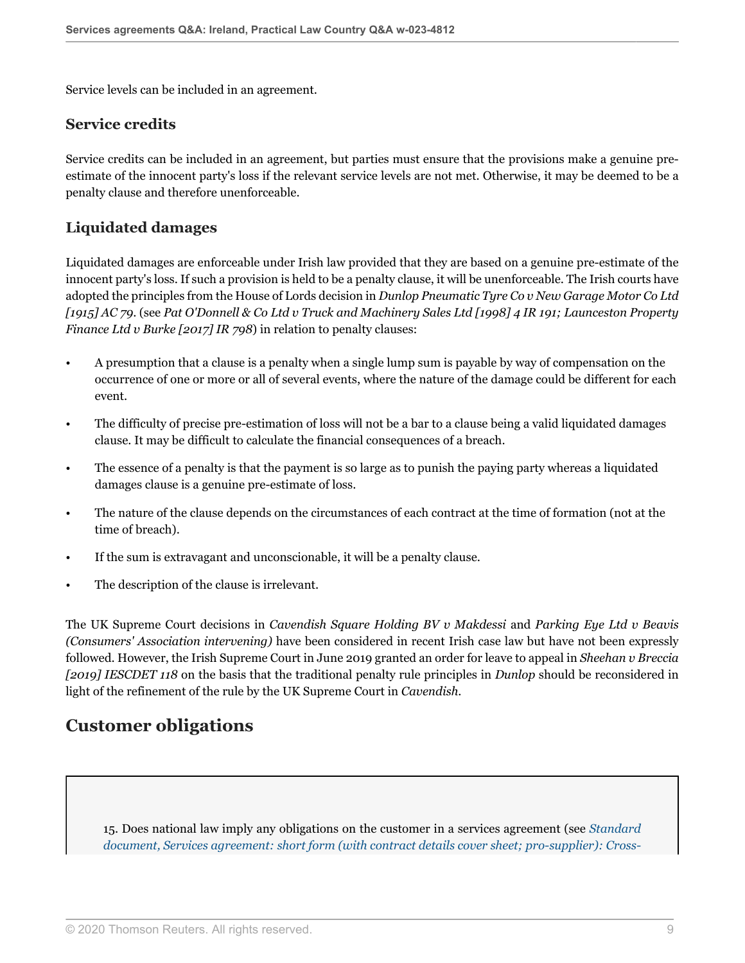Service levels can be included in an agreement.

#### **Service credits**

Service credits can be included in an agreement, but parties must ensure that the provisions make a genuine preestimate of the innocent party's loss if the relevant service levels are not met. Otherwise, it may be deemed to be a penalty clause and therefore unenforceable.

#### **Liquidated damages**

Liquidated damages are enforceable under Irish law provided that they are based on a genuine pre-estimate of the innocent party's loss. If such a provision is held to be a penalty clause, it will be unenforceable. The Irish courts have adopted the principles from the House of Lords decision in *Dunlop Pneumatic Tyre Co v New Garage Motor Co Ltd [1915] AC 79*. (see *Pat O'Donnell & Co Ltd v Truck and Machinery Sales Ltd [1998] 4 IR 191; Launceston Property Finance Ltd v Burke [2017] IR 798*) in relation to penalty clauses:

- A presumption that a clause is a penalty when a single lump sum is payable by way of compensation on the occurrence of one or more or all of several events, where the nature of the damage could be different for each event.
- The difficulty of precise pre-estimation of loss will not be a bar to a clause being a valid liquidated damages clause. It may be difficult to calculate the financial consequences of a breach.
- The essence of a penalty is that the payment is so large as to punish the paying party whereas a liquidated damages clause is a genuine pre-estimate of loss.
- The nature of the clause depends on the circumstances of each contract at the time of formation (not at the time of breach).
- If the sum is extravagant and unconscionable, it will be a penalty clause.
- The description of the clause is irrelevant.

The UK Supreme Court decisions in *Cavendish Square Holding BV v Makdessi* and *Parking Eye Ltd v Beavis (Consumers' Association intervening)* have been considered in recent Irish case law but have not been expressly followed. However, the Irish Supreme Court in June 2019 granted an order for leave to appeal in *Sheehan v Breccia [2019] IESCDET 118* on the basis that the traditional penalty rule principles in *Dunlop* should be reconsidered in light of the refinement of the rule by the UK Supreme Court in *Cavendish*.

## **Customer obligations**

15. Does national law imply any obligations on the customer in a services agreement (see *[Standard](http://uk.practicallaw.thomsonreuters.com/w-017-0144?originationContext=document&vr=3.0&rs=PLUK1.0&transitionType=DocumentItem&contextData=(sc.Default)#co_anchor_a328611) [document, Services agreement: short form \(with contract details cover sheet; pro-supplier\): Cross-](http://uk.practicallaw.thomsonreuters.com/w-017-0144?originationContext=document&vr=3.0&rs=PLUK1.0&transitionType=DocumentItem&contextData=(sc.Default)#co_anchor_a328611)*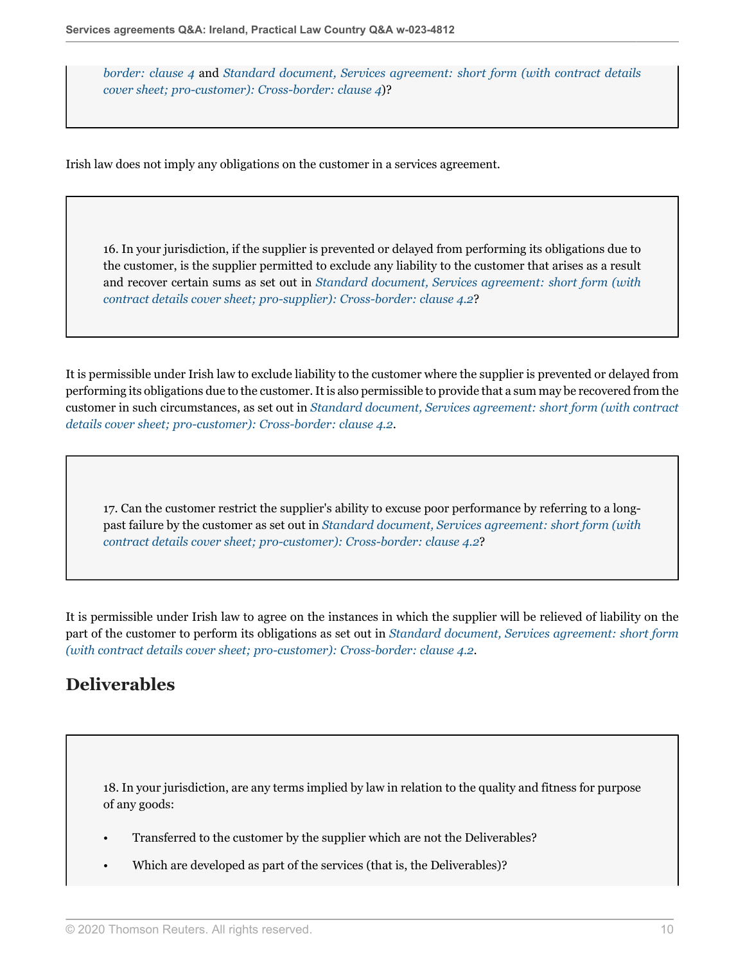*[border: clause 4](http://uk.practicallaw.thomsonreuters.com/w-017-0144?originationContext=document&vr=3.0&rs=PLUK1.0&transitionType=DocumentItem&contextData=(sc.Default)#co_anchor_a328611)* and *[Standard document, Services agreement: short form \(with contract details](http://uk.practicallaw.thomsonreuters.com/w-017-0148?originationContext=document&vr=3.0&rs=PLUK1.0&transitionType=DocumentItem&contextData=(sc.Default)#co_anchor_a328611) [cover sheet; pro-customer\): Cross-border: clause 4](http://uk.practicallaw.thomsonreuters.com/w-017-0148?originationContext=document&vr=3.0&rs=PLUK1.0&transitionType=DocumentItem&contextData=(sc.Default)#co_anchor_a328611)*)?

Irish law does not imply any obligations on the customer in a services agreement.

16. In your jurisdiction, if the supplier is prevented or delayed from performing its obligations due to the customer, is the supplier permitted to exclude any liability to the customer that arises as a result and recover certain sums as set out in *[Standard document, Services agreement: short form \(with](http://uk.practicallaw.thomsonreuters.com/w-017-0144?originationContext=document&vr=3.0&rs=PLUK1.0&transitionType=DocumentItem&contextData=(sc.Default)#co_anchor_a921060) [contract details cover sheet; pro-supplier\): Cross-border: clause 4.2](http://uk.practicallaw.thomsonreuters.com/w-017-0144?originationContext=document&vr=3.0&rs=PLUK1.0&transitionType=DocumentItem&contextData=(sc.Default)#co_anchor_a921060)*?

It is permissible under Irish law to exclude liability to the customer where the supplier is prevented or delayed from performing its obligations due to the customer. It is also permissible to provide that a sum may be recovered from the customer in such circumstances, as set out in *[Standard document, Services agreement: short form \(with contract](http://uk.practicallaw.thomsonreuters.com/w-017-0148?originationContext=document&vr=3.0&rs=PLUK1.0&transitionType=DocumentItem&contextData=(sc.Default)#co_anchor_a921060) [details cover sheet; pro-customer\): Cross-border: clause 4.2](http://uk.practicallaw.thomsonreuters.com/w-017-0148?originationContext=document&vr=3.0&rs=PLUK1.0&transitionType=DocumentItem&contextData=(sc.Default)#co_anchor_a921060)*.

17. Can the customer restrict the supplier's ability to excuse poor performance by referring to a longpast failure by the customer as set out in *[Standard document, Services agreement: short form \(with](http://uk.practicallaw.thomsonreuters.com/w-017-0148?originationContext=document&vr=3.0&rs=PLUK1.0&transitionType=DocumentItem&contextData=(sc.Default)#co_anchor_a921060) [contract details cover sheet; pro-customer\): Cross-border: clause 4.2](http://uk.practicallaw.thomsonreuters.com/w-017-0148?originationContext=document&vr=3.0&rs=PLUK1.0&transitionType=DocumentItem&contextData=(sc.Default)#co_anchor_a921060)*?

It is permissible under Irish law to agree on the instances in which the supplier will be relieved of liability on the part of the customer to perform its obligations as set out in *[Standard document, Services agreement: short form](http://uk.practicallaw.thomsonreuters.com/w-017-0148?originationContext=document&vr=3.0&rs=PLUK1.0&transitionType=DocumentItem&contextData=(sc.Default)#co_anchor_a921060) [\(with contract details cover sheet; pro-customer\): Cross-border: clause 4.2](http://uk.practicallaw.thomsonreuters.com/w-017-0148?originationContext=document&vr=3.0&rs=PLUK1.0&transitionType=DocumentItem&contextData=(sc.Default)#co_anchor_a921060)*.

# **Deliverables**

18. In your jurisdiction, are any terms implied by law in relation to the quality and fitness for purpose of any goods:

- Transferred to the customer by the supplier which are not the Deliverables?
- Which are developed as part of the services (that is, the Deliverables)?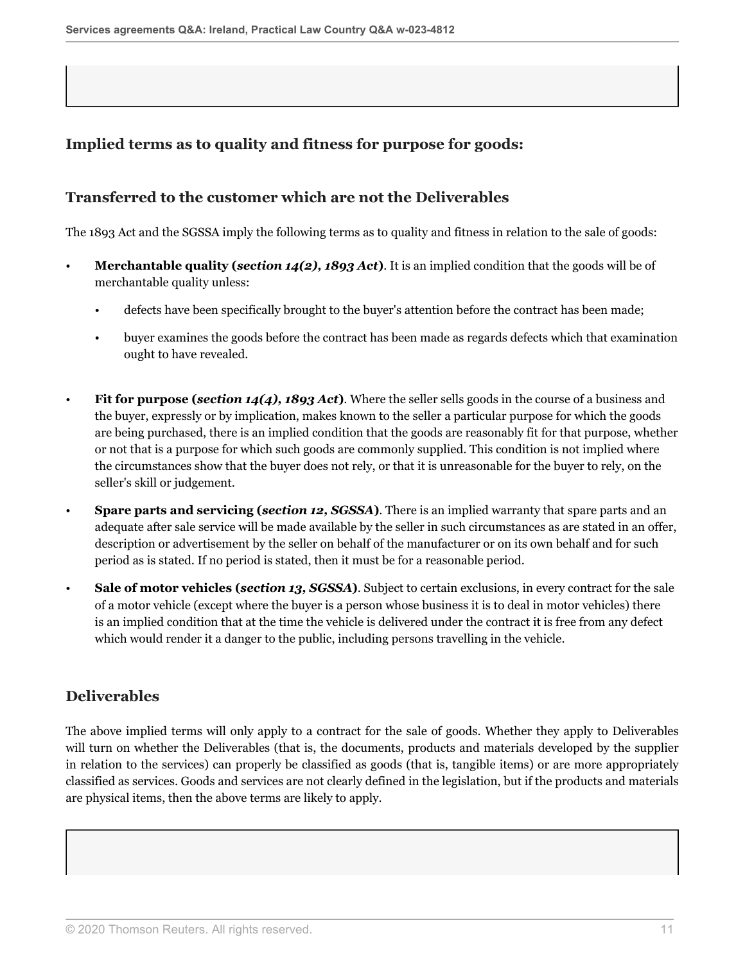## **Implied terms as to quality and fitness for purpose for goods:**

#### **Transferred to the customer which are not the Deliverables**

The 1893 Act and the SGSSA imply the following terms as to quality and fitness in relation to the sale of goods:

- **Merchantable quality (***section 14(2), 1893 Act***)**. It is an implied condition that the goods will be of merchantable quality unless:
	- defects have been specifically brought to the buyer's attention before the contract has been made;
	- buyer examines the goods before the contract has been made as regards defects which that examination ought to have revealed.
- **Fit for purpose (***section 14(4), 1893 Act***)**. Where the seller sells goods in the course of a business and the buyer, expressly or by implication, makes known to the seller a particular purpose for which the goods are being purchased, there is an implied condition that the goods are reasonably fit for that purpose, whether or not that is a purpose for which such goods are commonly supplied. This condition is not implied where the circumstances show that the buyer does not rely, or that it is unreasonable for the buyer to rely, on the seller's skill or judgement.
- **Spare parts and servicing (***section 12, SGSSA***)**. There is an implied warranty that spare parts and an adequate after sale service will be made available by the seller in such circumstances as are stated in an offer, description or advertisement by the seller on behalf of the manufacturer or on its own behalf and for such period as is stated. If no period is stated, then it must be for a reasonable period.
- **Sale of motor vehicles (***section 13, SGSSA***)**. Subject to certain exclusions, in every contract for the sale of a motor vehicle (except where the buyer is a person whose business it is to deal in motor vehicles) there is an implied condition that at the time the vehicle is delivered under the contract it is free from any defect which would render it a danger to the public, including persons travelling in the vehicle.

### **Deliverables**

The above implied terms will only apply to a contract for the sale of goods. Whether they apply to Deliverables will turn on whether the Deliverables (that is, the documents, products and materials developed by the supplier in relation to the services) can properly be classified as goods (that is, tangible items) or are more appropriately classified as services. Goods and services are not clearly defined in the legislation, but if the products and materials are physical items, then the above terms are likely to apply.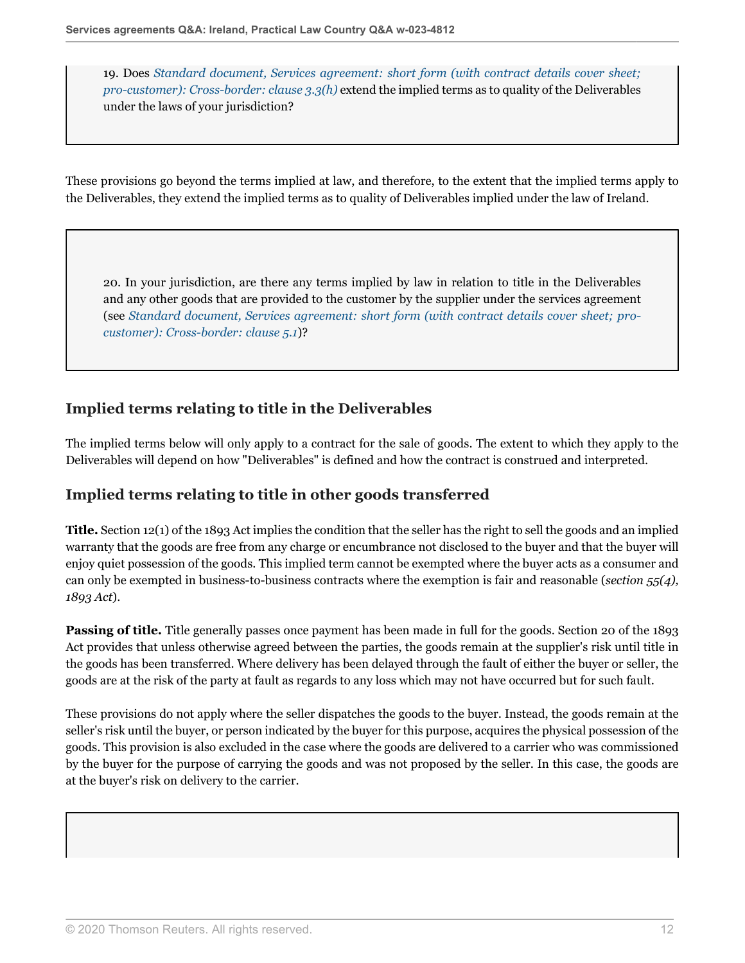19. Does *[Standard document, Services agreement: short form \(with contract details cover sheet;](http://uk.practicallaw.thomsonreuters.com/w-017-0148?originationContext=document&vr=3.0&rs=PLUK1.0&transitionType=DocumentItem&contextData=(sc.Default)#co_anchor_a115861) [pro-customer\): Cross-border: clause 3.3\(h\)](http://uk.practicallaw.thomsonreuters.com/w-017-0148?originationContext=document&vr=3.0&rs=PLUK1.0&transitionType=DocumentItem&contextData=(sc.Default)#co_anchor_a115861)* extend the implied terms as to quality of the Deliverables under the laws of your jurisdiction?

These provisions go beyond the terms implied at law, and therefore, to the extent that the implied terms apply to the Deliverables, they extend the implied terms as to quality of Deliverables implied under the law of Ireland.

<span id="page-11-0"></span>20. In your jurisdiction, are there any terms implied by law in relation to title in the Deliverables and any other goods that are provided to the customer by the supplier under the services agreement (see *[Standard document, Services agreement: short form \(with contract details cover sheet; pro](http://uk.practicallaw.thomsonreuters.com/w-017-0148?originationContext=document&vr=3.0&rs=PLUK1.0&transitionType=DocumentItem&contextData=(sc.Default)#co_anchor_a182289)[customer\): Cross-border: clause 5.1](http://uk.practicallaw.thomsonreuters.com/w-017-0148?originationContext=document&vr=3.0&rs=PLUK1.0&transitionType=DocumentItem&contextData=(sc.Default)#co_anchor_a182289)*)?

## **Implied terms relating to title in the Deliverables**

The implied terms below will only apply to a contract for the sale of goods. The extent to which they apply to the Deliverables will depend on how "Deliverables" is defined and how the contract is construed and interpreted.

### **Implied terms relating to title in other goods transferred**

**Title.** Section 12(1) of the 1893 Act implies the condition that the seller has the right to sell the goods and an implied warranty that the goods are free from any charge or encumbrance not disclosed to the buyer and that the buyer will enjoy quiet possession of the goods. This implied term cannot be exempted where the buyer acts as a consumer and can only be exempted in business-to-business contracts where the exemption is fair and reasonable (*section 55(4), 1893 Act*).

**Passing of title.** Title generally passes once payment has been made in full for the goods. Section 20 of the 1893 Act provides that unless otherwise agreed between the parties, the goods remain at the supplier's risk until title in the goods has been transferred. Where delivery has been delayed through the fault of either the buyer or seller, the goods are at the risk of the party at fault as regards to any loss which may not have occurred but for such fault.

These provisions do not apply where the seller dispatches the goods to the buyer. Instead, the goods remain at the seller's risk until the buyer, or person indicated by the buyer for this purpose, acquires the physical possession of the goods. This provision is also excluded in the case where the goods are delivered to a carrier who was commissioned by the buyer for the purpose of carrying the goods and was not proposed by the seller. In this case, the goods are at the buyer's risk on delivery to the carrier.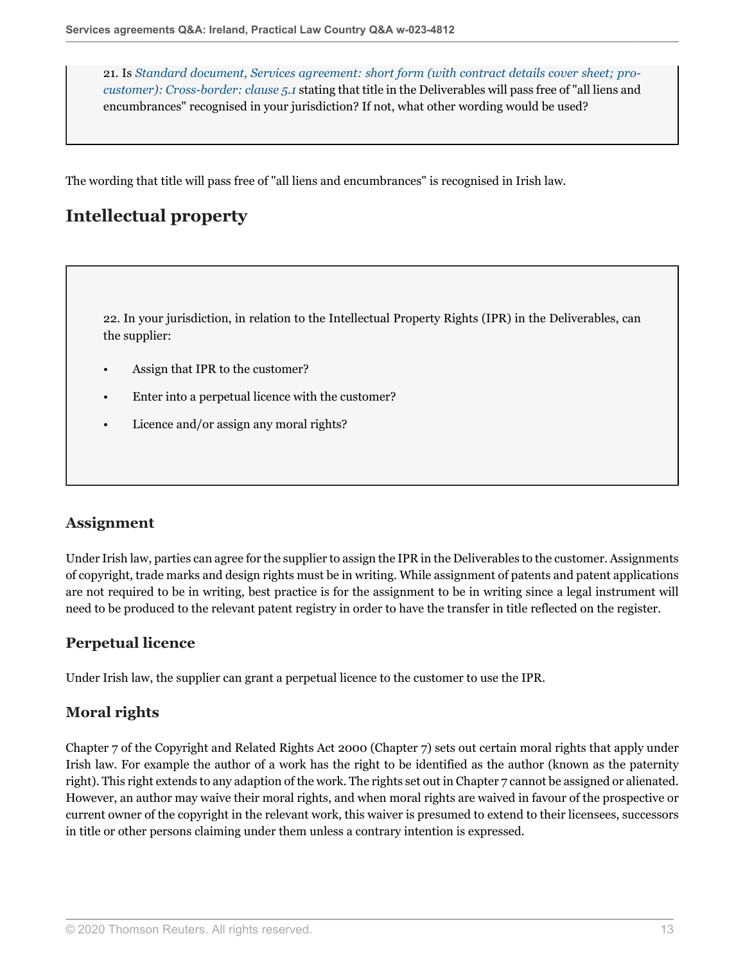21. Is *[Standard document, Services agreement: short form \(with contract details cover sheet; pro](http://uk.practicallaw.thomsonreuters.com/w-017-0148?originationContext=document&vr=3.0&rs=PLUK1.0&transitionType=DocumentItem&contextData=(sc.Default)#co_anchor_a182289)[customer\): Cross-border: clause 5.1](http://uk.practicallaw.thomsonreuters.com/w-017-0148?originationContext=document&vr=3.0&rs=PLUK1.0&transitionType=DocumentItem&contextData=(sc.Default)#co_anchor_a182289)* stating that title in the Deliverables will pass free of "all liens and encumbrances" recognised in your jurisdiction? If not, what other wording would be used?

The wording that title will pass free of "all liens and encumbrances" is recognised in Irish law.

# **Intellectual property**

22. In your jurisdiction, in relation to the Intellectual Property Rights (IPR) in the Deliverables, can the supplier:

- Assign that IPR to the customer?
- Enter into a perpetual licence with the customer?
- Licence and/or assign any moral rights?

### **Assignment**

Under Irish law, parties can agree for the supplier to assign the IPR in the Deliverables to the customer. Assignments of copyright, trade marks and design rights must be in writing. While assignment of patents and patent applications are not required to be in writing, best practice is for the assignment to be in writing since a legal instrument will need to be produced to the relevant patent registry in order to have the transfer in title reflected on the register.

#### **Perpetual licence**

Under Irish law, the supplier can grant a perpetual licence to the customer to use the IPR.

### **Moral rights**

Chapter 7 of the Copyright and Related Rights Act 2000 (Chapter 7) sets out certain moral rights that apply under Irish law. For example the author of a work has the right to be identified as the author (known as the paternity right). This right extends to any adaption of the work. The rights set out in Chapter 7 cannot be assigned or alienated. However, an author may waive their moral rights, and when moral rights are waived in favour of the prospective or current owner of the copyright in the relevant work, this waiver is presumed to extend to their licensees, successors in title or other persons claiming under them unless a contrary intention is expressed.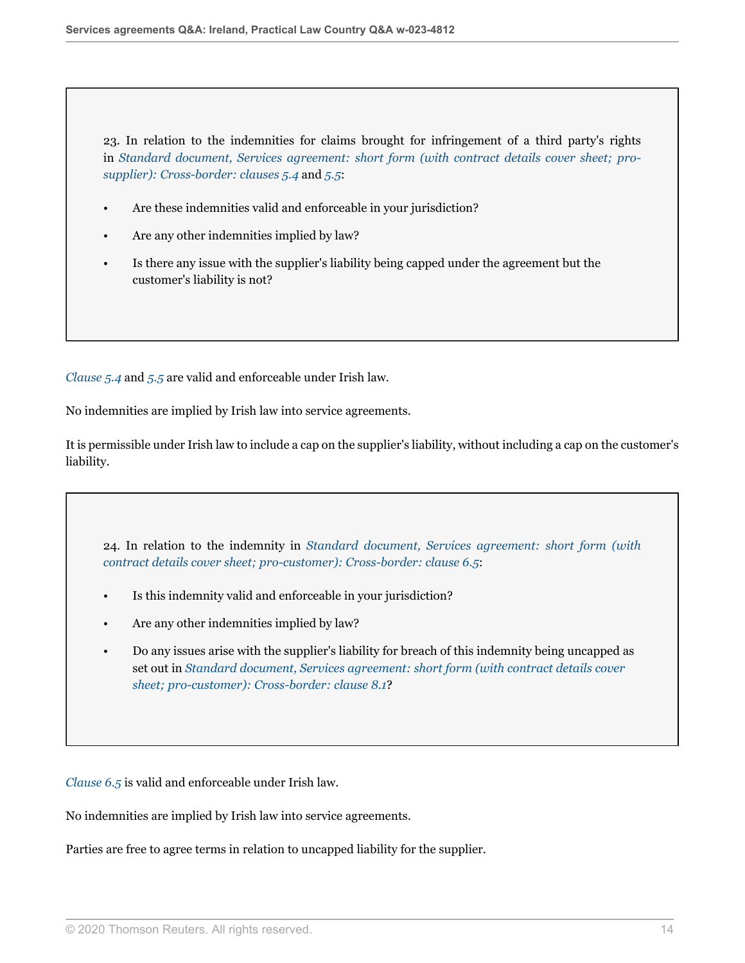23. In relation to the indemnities for claims brought for infringement of a third party's rights in *[Standard document, Services agreement: short form \(with contract details cover sheet; pro](http://uk.practicallaw.thomsonreuters.com/w-017-0144?originationContext=document&vr=3.0&rs=PLUK1.0&transitionType=DocumentItem&contextData=(sc.Default)#co_anchor_a885974)[supplier\): Cross-border: clauses 5.4](http://uk.practicallaw.thomsonreuters.com/w-017-0144?originationContext=document&vr=3.0&rs=PLUK1.0&transitionType=DocumentItem&contextData=(sc.Default)#co_anchor_a885974)* and *[5.5](http://uk.practicallaw.thomsonreuters.com/w-017-0144?originationContext=document&vr=3.0&rs=PLUK1.0&transitionType=DocumentItem&contextData=(sc.Default)#co_anchor_a483532)*:

- Are these indemnities valid and enforceable in your jurisdiction?
- Are any other indemnities implied by law?
- Is there any issue with the supplier's liability being capped under the agreement but the customer's liability is not?

*[Clause 5.4](http://uk.practicallaw.thomsonreuters.com/w-017-0144?originationContext=document&vr=3.0&rs=PLUK1.0&transitionType=DocumentItem&contextData=(sc.Default)#co_anchor_a885974)* and *[5.5](http://uk.practicallaw.thomsonreuters.com/w-017-0144?originationContext=document&vr=3.0&rs=PLUK1.0&transitionType=DocumentItem&contextData=(sc.Default)#co_anchor_a483532)* are valid and enforceable under Irish law.

No indemnities are implied by Irish law into service agreements.

It is permissible under Irish law to include a cap on the supplier's liability, without including a cap on the customer's liability.

24. In relation to the indemnity in *[Standard document, Services agreement: short form \(with](http://uk.practicallaw.thomsonreuters.com/w-017-0148?originationContext=document&vr=3.0&rs=PLUK1.0&transitionType=DocumentItem&contextData=(sc.Default)#co_anchor_a885974) [contract details cover sheet; pro-customer\): Cross-border: clause 6.5](http://uk.practicallaw.thomsonreuters.com/w-017-0148?originationContext=document&vr=3.0&rs=PLUK1.0&transitionType=DocumentItem&contextData=(sc.Default)#co_anchor_a885974)*:

- Is this indemnity valid and enforceable in your jurisdiction?
- Are any other indemnities implied by law?
- Do any issues arise with the supplier's liability for breach of this indemnity being uncapped as set out in *[Standard document, Services agreement: short form \(with contract details cover](http://uk.practicallaw.thomsonreuters.com/w-017-0148?originationContext=document&vr=3.0&rs=PLUK1.0&transitionType=DocumentItem&contextData=(sc.Default)#co_anchor_a250544) [sheet; pro-customer\): Cross-border: clause 8.1](http://uk.practicallaw.thomsonreuters.com/w-017-0148?originationContext=document&vr=3.0&rs=PLUK1.0&transitionType=DocumentItem&contextData=(sc.Default)#co_anchor_a250544)*?

*[Clause 6.5](http://uk.practicallaw.thomsonreuters.com/w-017-0144?originationContext=document&vr=3.0&rs=PLUK1.0&transitionType=DocumentItem&contextData=(sc.Default)#co_anchor_a346456)* is valid and enforceable under Irish law.

No indemnities are implied by Irish law into service agreements.

Parties are free to agree terms in relation to uncapped liability for the supplier.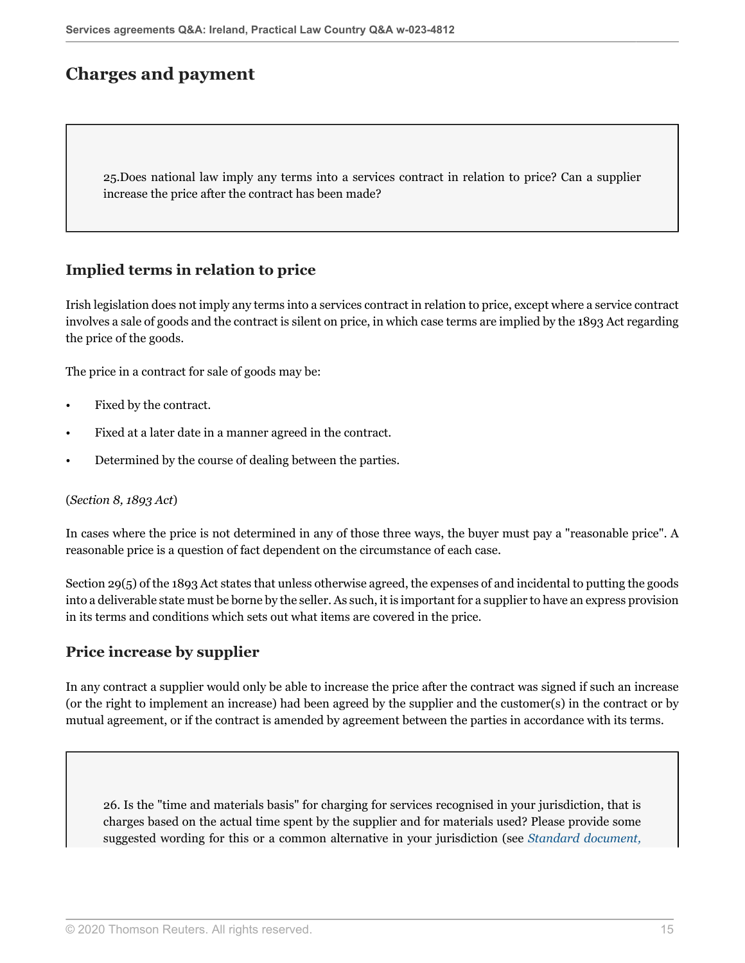# **Charges and payment**

25.Does national law imply any terms into a services contract in relation to price? Can a supplier increase the price after the contract has been made?

#### **Implied terms in relation to price**

Irish legislation does not imply any terms into a services contract in relation to price, except where a service contract involves a sale of goods and the contract is silent on price, in which case terms are implied by the 1893 Act regarding the price of the goods.

The price in a contract for sale of goods may be:

- Fixed by the contract.
- Fixed at a later date in a manner agreed in the contract.
- Determined by the course of dealing between the parties.

#### (*Section 8, 1893 Act*)

In cases where the price is not determined in any of those three ways, the buyer must pay a "reasonable price". A reasonable price is a question of fact dependent on the circumstance of each case.

Section 29(5) of the 1893 Act states that unless otherwise agreed, the expenses of and incidental to putting the goods into a deliverable state must be borne by the seller. As such, it is important for a supplier to have an express provision in its terms and conditions which sets out what items are covered in the price.

#### **Price increase by supplier**

In any contract a supplier would only be able to increase the price after the contract was signed if such an increase (or the right to implement an increase) had been agreed by the supplier and the customer(s) in the contract or by mutual agreement, or if the contract is amended by agreement between the parties in accordance with its terms.

26. Is the "time and materials basis" for charging for services recognised in your jurisdiction, that is charges based on the actual time spent by the supplier and for materials used? Please provide some suggested wording for this or a common alternative in your jurisdiction (see *[Standard document,](http://uk.practicallaw.thomsonreuters.com/w-017-0144?originationContext=document&vr=3.0&rs=PLUK1.0&transitionType=DocumentItem&contextData=(sc.Default)#co_anchor_a361015)*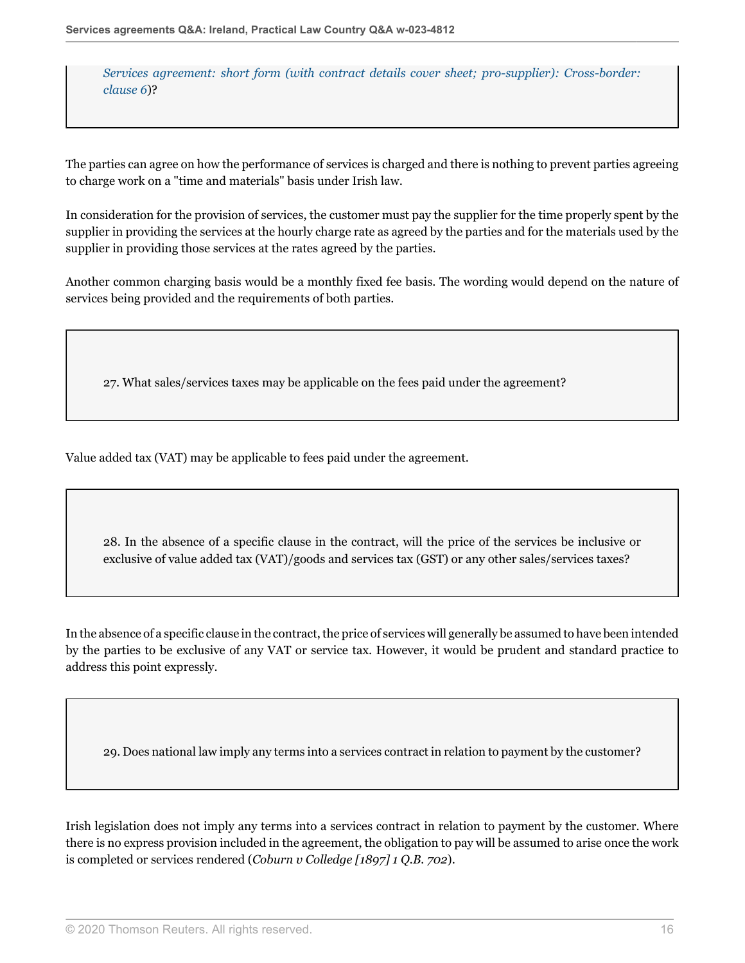*[Services agreement: short form \(with contract details cover sheet; pro-supplier\): Cross-border:](http://uk.practicallaw.thomsonreuters.com/w-017-0144?originationContext=document&vr=3.0&rs=PLUK1.0&transitionType=DocumentItem&contextData=(sc.Default)#co_anchor_a361015) [clause 6](http://uk.practicallaw.thomsonreuters.com/w-017-0144?originationContext=document&vr=3.0&rs=PLUK1.0&transitionType=DocumentItem&contextData=(sc.Default)#co_anchor_a361015)*)?

The parties can agree on how the performance of services is charged and there is nothing to prevent parties agreeing to charge work on a "time and materials" basis under Irish law.

In consideration for the provision of services, the customer must pay the supplier for the time properly spent by the supplier in providing the services at the hourly charge rate as agreed by the parties and for the materials used by the supplier in providing those services at the rates agreed by the parties.

Another common charging basis would be a monthly fixed fee basis. The wording would depend on the nature of services being provided and the requirements of both parties.

27. What sales/services taxes may be applicable on the fees paid under the agreement?

Value added tax (VAT) may be applicable to fees paid under the agreement.

28. In the absence of a specific clause in the contract, will the price of the services be inclusive or exclusive of value added tax (VAT)/goods and services tax (GST) or any other sales/services taxes?

In the absence of a specific clause in the contract, the price of services will generally be assumed to have been intended by the parties to be exclusive of any VAT or service tax. However, it would be prudent and standard practice to address this point expressly.

29. Does national law imply any terms into a services contract in relation to payment by the customer?

Irish legislation does not imply any terms into a services contract in relation to payment by the customer. Where there is no express provision included in the agreement, the obligation to pay will be assumed to arise once the work is completed or services rendered (*Coburn v Colledge [1897] 1 Q.B. 702*).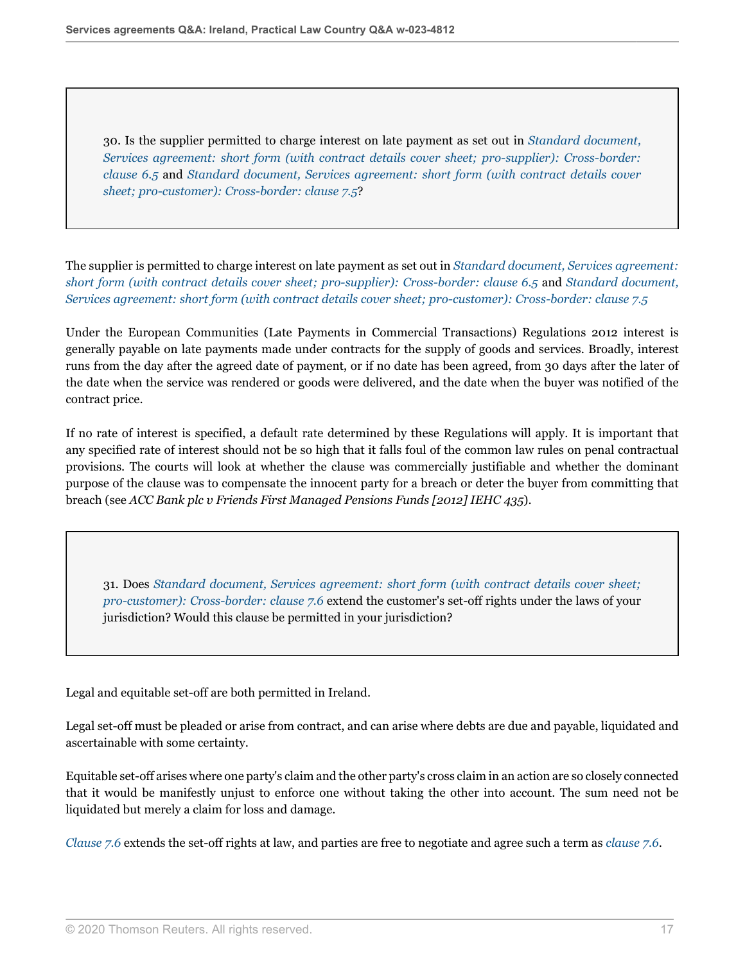30. Is the supplier permitted to charge interest on late payment as set out in *[Standard document,](http://uk.practicallaw.thomsonreuters.com/w-017-0144?originationContext=document&vr=3.0&rs=PLUK1.0&transitionType=DocumentItem&contextData=(sc.Default)#co_anchor_a346456) [Services agreement: short form \(with contract details cover sheet; pro-supplier\): Cross-border:](http://uk.practicallaw.thomsonreuters.com/w-017-0144?originationContext=document&vr=3.0&rs=PLUK1.0&transitionType=DocumentItem&contextData=(sc.Default)#co_anchor_a346456) [clause 6.5](http://uk.practicallaw.thomsonreuters.com/w-017-0144?originationContext=document&vr=3.0&rs=PLUK1.0&transitionType=DocumentItem&contextData=(sc.Default)#co_anchor_a346456)* and *[Standard document, Services agreement: short form \(with contract details cover](http://uk.practicallaw.thomsonreuters.com/w-017-0148?originationContext=document&vr=3.0&rs=PLUK1.0&transitionType=DocumentItem&contextData=(sc.Default)#co_anchor_a346456) [sheet; pro-customer\): Cross-border: clause 7.5](http://uk.practicallaw.thomsonreuters.com/w-017-0148?originationContext=document&vr=3.0&rs=PLUK1.0&transitionType=DocumentItem&contextData=(sc.Default)#co_anchor_a346456)*?

The supplier is permitted to charge interest on late payment as set out in *[Standard document, Services agreement:](http://uk.practicallaw.thomsonreuters.com/w-017-0144?originationContext=document&vr=3.0&rs=PLUK1.0&transitionType=DocumentItem&contextData=(sc.Default)#co_anchor_a346456) [short form \(with contract details cover sheet; pro-supplier\): Cross-border: clause 6.5](http://uk.practicallaw.thomsonreuters.com/w-017-0144?originationContext=document&vr=3.0&rs=PLUK1.0&transitionType=DocumentItem&contextData=(sc.Default)#co_anchor_a346456)* and *[Standard document,](http://uk.practicallaw.thomsonreuters.com/w-017-0148?originationContext=document&vr=3.0&rs=PLUK1.0&transitionType=DocumentItem&contextData=(sc.Default)#co_anchor_a346456) [Services agreement: short form \(with contract details cover sheet; pro-customer\): Cross-border: clause 7.5](http://uk.practicallaw.thomsonreuters.com/w-017-0148?originationContext=document&vr=3.0&rs=PLUK1.0&transitionType=DocumentItem&contextData=(sc.Default)#co_anchor_a346456)*

Under the European Communities (Late Payments in Commercial Transactions) Regulations 2012 interest is generally payable on late payments made under contracts for the supply of goods and services. Broadly, interest runs from the day after the agreed date of payment, or if no date has been agreed, from 30 days after the later of the date when the service was rendered or goods were delivered, and the date when the buyer was notified of the contract price.

If no rate of interest is specified, a default rate determined by these Regulations will apply. It is important that any specified rate of interest should not be so high that it falls foul of the common law rules on penal contractual provisions. The courts will look at whether the clause was commercially justifiable and whether the dominant purpose of the clause was to compensate the innocent party for a breach or deter the buyer from committing that breach (see *ACC Bank plc v Friends First Managed Pensions Funds [2012] IEHC 435*).

31. Does *[Standard document, Services agreement: short form \(with contract details cover sheet;](http://uk.practicallaw.thomsonreuters.com/w-017-0148?originationContext=document&vr=3.0&rs=PLUK1.0&transitionType=DocumentItem&contextData=(sc.Default)#co_anchor_a316770) [pro-customer\): Cross-border: clause 7.6](http://uk.practicallaw.thomsonreuters.com/w-017-0148?originationContext=document&vr=3.0&rs=PLUK1.0&transitionType=DocumentItem&contextData=(sc.Default)#co_anchor_a316770)* extend the customer's set-off rights under the laws of your jurisdiction? Would this clause be permitted in your jurisdiction?

Legal and equitable set-off are both permitted in Ireland.

Legal set-off must be pleaded or arise from contract, and can arise where debts are due and payable, liquidated and ascertainable with some certainty.

Equitable set-off arises where one party's claim and the other party's cross claim in an action are so closely connected that it would be manifestly unjust to enforce one without taking the other into account. The sum need not be liquidated but merely a claim for loss and damage.

*[Clause 7.6](http://uk.practicallaw.thomsonreuters.com/w-017-0148?originationContext=document&vr=3.0&rs=PLUK1.0&transitionType=DocumentItem&contextData=(sc.Default)#co_anchor_a316770)* extends the set-off rights at law, and parties are free to negotiate and agree such a term as *[clause 7.6](http://uk.practicallaw.thomsonreuters.com/w-017-0148?originationContext=document&vr=3.0&rs=PLUK1.0&transitionType=DocumentItem&contextData=(sc.Default)#co_anchor_a316770)*.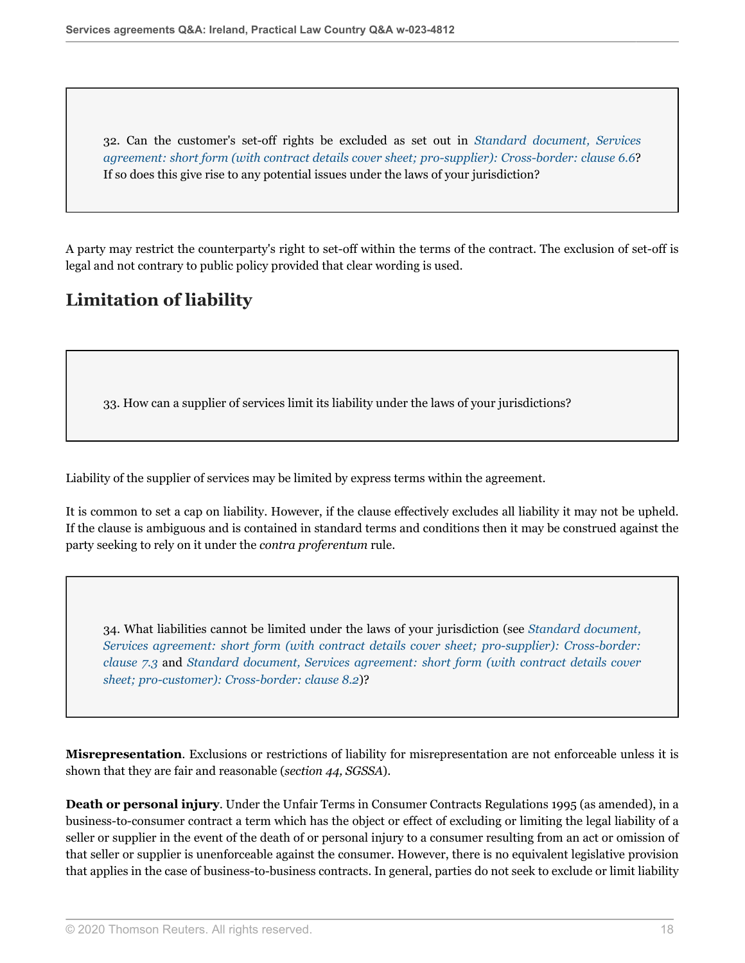32. Can the customer's set-off rights be excluded as set out in *[Standard document, Services](http://uk.practicallaw.thomsonreuters.com/w-017-0144?originationContext=document&vr=3.0&rs=PLUK1.0&transitionType=DocumentItem&contextData=(sc.Default)#co_anchor_a316770) [agreement: short form \(with contract details cover sheet; pro-supplier\): Cross-border: clause 6.6](http://uk.practicallaw.thomsonreuters.com/w-017-0144?originationContext=document&vr=3.0&rs=PLUK1.0&transitionType=DocumentItem&contextData=(sc.Default)#co_anchor_a316770)*? If so does this give rise to any potential issues under the laws of your jurisdiction?

A party may restrict the counterparty's right to set-off within the terms of the contract. The exclusion of set-off is legal and not contrary to public policy provided that clear wording is used.

# **Limitation of liability**

33. How can a supplier of services limit its liability under the laws of your jurisdictions?

Liability of the supplier of services may be limited by express terms within the agreement.

It is common to set a cap on liability. However, if the clause effectively excludes all liability it may not be upheld. If the clause is ambiguous and is contained in standard terms and conditions then it may be construed against the party seeking to rely on it under the *contra proferentum* rule.

<span id="page-17-0"></span>34. What liabilities cannot be limited under the laws of your jurisdiction (see *[Standard document,](http://uk.practicallaw.thomsonreuters.com/w-017-0144?originationContext=document&vr=3.0&rs=PLUK1.0&transitionType=DocumentItem&contextData=(sc.Default)#co_anchor_a673902) [Services agreement: short form \(with contract details cover sheet; pro-supplier\): Cross-border:](http://uk.practicallaw.thomsonreuters.com/w-017-0144?originationContext=document&vr=3.0&rs=PLUK1.0&transitionType=DocumentItem&contextData=(sc.Default)#co_anchor_a673902) [clause 7.3](http://uk.practicallaw.thomsonreuters.com/w-017-0144?originationContext=document&vr=3.0&rs=PLUK1.0&transitionType=DocumentItem&contextData=(sc.Default)#co_anchor_a673902)* and *[Standard document, Services agreement: short form \(with contract details cover](http://uk.practicallaw.thomsonreuters.com/w-017-0148?originationContext=document&vr=3.0&rs=PLUK1.0&transitionType=DocumentItem&contextData=(sc.Default)#co_anchor_a585596) [sheet; pro-customer\): Cross-border: clause 8.2](http://uk.practicallaw.thomsonreuters.com/w-017-0148?originationContext=document&vr=3.0&rs=PLUK1.0&transitionType=DocumentItem&contextData=(sc.Default)#co_anchor_a585596)*)?

**Misrepresentation**. Exclusions or restrictions of liability for misrepresentation are not enforceable unless it is shown that they are fair and reasonable (*section 44, SGSSA*).

**Death or personal injury**. Under the Unfair Terms in Consumer Contracts Regulations 1995 (as amended), in a business-to-consumer contract a term which has the object or effect of excluding or limiting the legal liability of a seller or supplier in the event of the death of or personal injury to a consumer resulting from an act or omission of that seller or supplier is unenforceable against the consumer. However, there is no equivalent legislative provision that applies in the case of business-to-business contracts. In general, parties do not seek to exclude or limit liability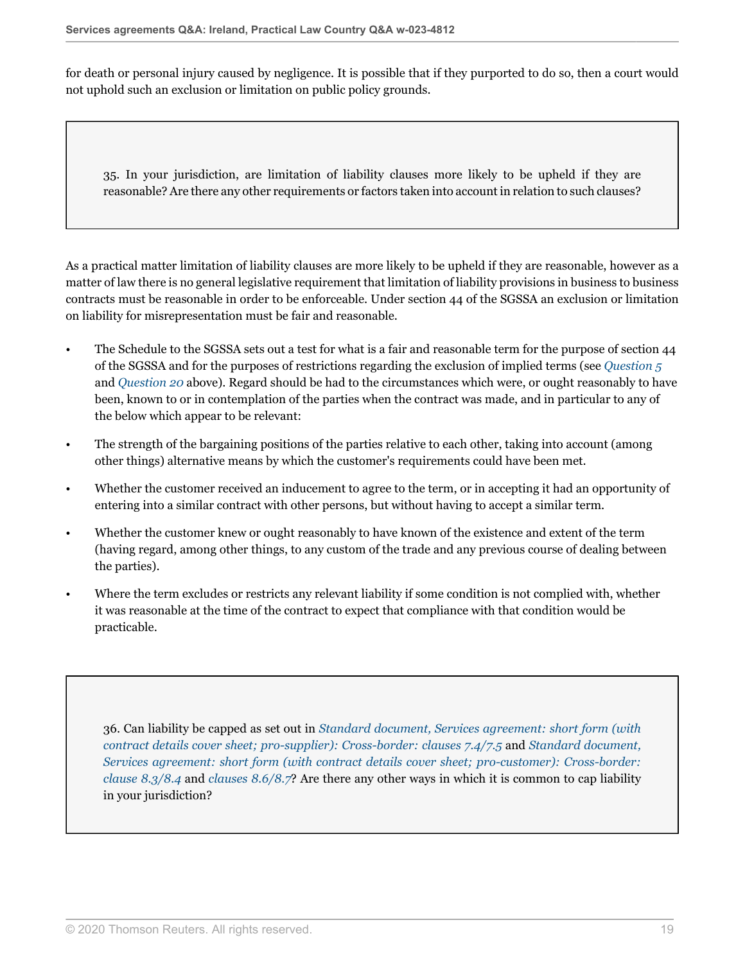for death or personal injury caused by negligence. It is possible that if they purported to do so, then a court would not uphold such an exclusion or limitation on public policy grounds.

35. In your jurisdiction, are limitation of liability clauses more likely to be upheld if they are reasonable? Are there any other requirements or factors taken into account in relation to such clauses?

As a practical matter limitation of liability clauses are more likely to be upheld if they are reasonable, however as a matter of law there is no general legislative requirement that limitation of liability provisions in business to business contracts must be reasonable in order to be enforceable. Under section 44 of the SGSSA an exclusion or limitation on liability for misrepresentation must be fair and reasonable.

- The Schedule to the SGSSA sets out a test for what is a fair and reasonable term for the purpose of section 44 of the SGSSA and for the purposes of restrictions regarding the exclusion of implied terms (see *[Question 5](#page-2-0)* and *[Question 20](#page-11-0)* above). Regard should be had to the circumstances which were, or ought reasonably to have been, known to or in contemplation of the parties when the contract was made, and in particular to any of the below which appear to be relevant:
- The strength of the bargaining positions of the parties relative to each other, taking into account (among other things) alternative means by which the customer's requirements could have been met.
- Whether the customer received an inducement to agree to the term, or in accepting it had an opportunity of entering into a similar contract with other persons, but without having to accept a similar term.
- Whether the customer knew or ought reasonably to have known of the existence and extent of the term (having regard, among other things, to any custom of the trade and any previous course of dealing between the parties).
- Where the term excludes or restricts any relevant liability if some condition is not complied with, whether it was reasonable at the time of the contract to expect that compliance with that condition would be practicable.

36. Can liability be capped as set out in *[Standard document, Services agreement: short form \(with](http://uk.practicallaw.thomsonreuters.com/w-017-0144?originationContext=document&vr=3.0&rs=PLUK1.0&transitionType=DocumentItem&contextData=(sc.Default)#co_anchor_a255920) [contract details cover sheet; pro-supplier\): Cross-border: clauses 7.4/7.5](http://uk.practicallaw.thomsonreuters.com/w-017-0144?originationContext=document&vr=3.0&rs=PLUK1.0&transitionType=DocumentItem&contextData=(sc.Default)#co_anchor_a255920)* and *[Standard document,](http://uk.practicallaw.thomsonreuters.com/w-017-0148?originationContext=document&vr=3.0&rs=PLUK1.0&transitionType=DocumentItem&contextData=(sc.Default)#co_anchor_a255920) [Services agreement: short form \(with contract details cover sheet; pro-customer\): Cross-border:](http://uk.practicallaw.thomsonreuters.com/w-017-0148?originationContext=document&vr=3.0&rs=PLUK1.0&transitionType=DocumentItem&contextData=(sc.Default)#co_anchor_a255920) [clause 8.3/8.4](http://uk.practicallaw.thomsonreuters.com/w-017-0148?originationContext=document&vr=3.0&rs=PLUK1.0&transitionType=DocumentItem&contextData=(sc.Default)#co_anchor_a255920)* and *[clauses 8.6/8.7](http://uk.practicallaw.thomsonreuters.com/w-017-0148?originationContext=document&vr=3.0&rs=PLUK1.0&transitionType=DocumentItem&contextData=(sc.Default)#co_anchor_a662995)*? Are there any other ways in which it is common to cap liability in your jurisdiction?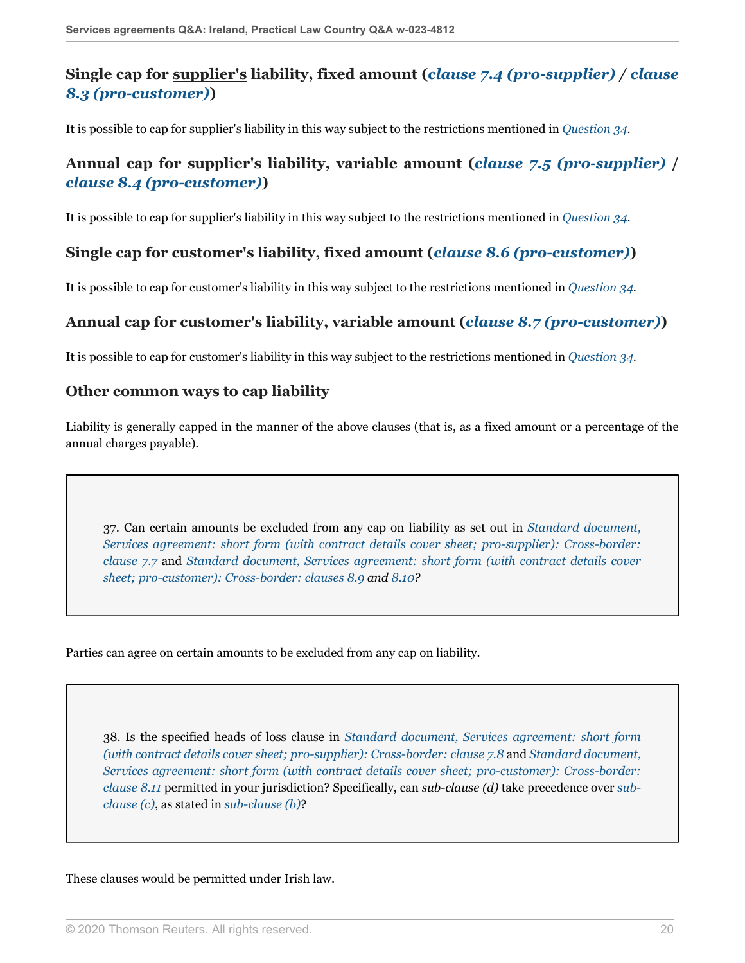## **Single cap for supplier's liability, fixed amount (***[clause 7.4 \(pro-supplier\)](http://uk.practicallaw.thomsonreuters.com/w-017-0144?originationContext=document&vr=3.0&rs=PLUK1.0&transitionType=DocumentItem&contextData=(sc.Default)#co_anchor_a839933) / [clause](http://uk.practicallaw.thomsonreuters.com/w-017-0148?originationContext=document&vr=3.0&rs=PLUK1.0&transitionType=DocumentItem&contextData=(sc.Default)#co_anchor_a255920) [8.3 \(pro-customer\)](http://uk.practicallaw.thomsonreuters.com/w-017-0148?originationContext=document&vr=3.0&rs=PLUK1.0&transitionType=DocumentItem&contextData=(sc.Default)#co_anchor_a255920)***)**

It is possible to cap for supplier's liability in this way subject to the restrictions mentioned in *[Question 34](#page-17-0)*.

## **Annual cap for supplier's liability, variable amount (***[clause 7.5 \(pro-supplier\)](http://uk.practicallaw.thomsonreuters.com/w-017-0144?originationContext=document&vr=3.0&rs=PLUK1.0&transitionType=DocumentItem&contextData=(sc.Default)#co_anchor_a673902)* **/** *[clause 8.4 \(pro-customer\)](http://uk.practicallaw.thomsonreuters.com/w-017-0148?originationContext=document&vr=3.0&rs=PLUK1.0&transitionType=DocumentItem&contextData=(sc.Default)#co_anchor_a248348)***)**

It is possible to cap for supplier's liability in this way subject to the restrictions mentioned in *[Question 34](#page-17-0)*.

### **Single cap for customer's liability, fixed amount (***[clause 8.6 \(pro-customer\)](http://uk.practicallaw.thomsonreuters.com/w-017-0148?originationContext=document&vr=3.0&rs=PLUK1.0&transitionType=DocumentItem&contextData=(sc.Default)#co_anchor_a662995)***)**

It is possible to cap for customer's liability in this way subject to the restrictions mentioned in *[Question 34](#page-17-0)*.

### **Annual cap for customer's liability, variable amount (***[clause 8.7 \(pro-customer\)](http://uk.practicallaw.thomsonreuters.com/w-017-0148?originationContext=document&vr=3.0&rs=PLUK1.0&transitionType=DocumentItem&contextData=(sc.Default)#co_anchor_a552347)***)**

It is possible to cap for customer's liability in this way subject to the restrictions mentioned in *[Question 34](#page-17-0)*.

#### **Other common ways to cap liability**

Liability is generally capped in the manner of the above clauses (that is, as a fixed amount or a percentage of the annual charges payable).

37. Can certain amounts be excluded from any cap on liability as set out in *[Standard document,](http://uk.practicallaw.thomsonreuters.com/w-017-0144?originationContext=document&vr=3.0&rs=PLUK1.0&transitionType=DocumentItem&contextData=(sc.Default)#co_anchor_a662995) [Services agreement: short form \(with contract details cover sheet; pro-supplier\): Cross-border:](http://uk.practicallaw.thomsonreuters.com/w-017-0144?originationContext=document&vr=3.0&rs=PLUK1.0&transitionType=DocumentItem&contextData=(sc.Default)#co_anchor_a662995) [clause 7.7](http://uk.practicallaw.thomsonreuters.com/w-017-0144?originationContext=document&vr=3.0&rs=PLUK1.0&transitionType=DocumentItem&contextData=(sc.Default)#co_anchor_a662995)* and *[Standard document, Services agreement: short form \(with contract details cover](http://uk.practicallaw.thomsonreuters.com/w-017-0148?originationContext=document&vr=3.0&rs=PLUK1.0&transitionType=DocumentItem&contextData=(sc.Default)#co_anchor_a775028) [sheet; pro-customer\): Cross-border: clauses 8.9](http://uk.practicallaw.thomsonreuters.com/w-017-0148?originationContext=document&vr=3.0&rs=PLUK1.0&transitionType=DocumentItem&contextData=(sc.Default)#co_anchor_a775028) and [8.10?](http://uk.practicallaw.thomsonreuters.com/w-017-0148?originationContext=document&vr=3.0&rs=PLUK1.0&transitionType=DocumentItem&contextData=(sc.Default)#co_anchor_a582298)*

Parties can agree on certain amounts to be excluded from any cap on liability.

38. Is the specified heads of loss clause in *[Standard document, Services agreement: short form](http://uk.practicallaw.thomsonreuters.com/w-017-0144?originationContext=document&vr=3.0&rs=PLUK1.0&transitionType=DocumentItem&contextData=(sc.Default)#co_anchor_a330216) [\(with contract details cover sheet; pro-supplier\): Cross-border: clause 7.8](http://uk.practicallaw.thomsonreuters.com/w-017-0144?originationContext=document&vr=3.0&rs=PLUK1.0&transitionType=DocumentItem&contextData=(sc.Default)#co_anchor_a330216)* and *[Standard document,](http://uk.practicallaw.thomsonreuters.com/w-017-0148?originationContext=document&vr=3.0&rs=PLUK1.0&transitionType=DocumentItem&contextData=(sc.Default)#co_anchor_a330216) [Services agreement: short form \(with contract details cover sheet; pro-customer\): Cross-border:](http://uk.practicallaw.thomsonreuters.com/w-017-0148?originationContext=document&vr=3.0&rs=PLUK1.0&transitionType=DocumentItem&contextData=(sc.Default)#co_anchor_a330216) [clause 8.11](http://uk.practicallaw.thomsonreuters.com/w-017-0148?originationContext=document&vr=3.0&rs=PLUK1.0&transitionType=DocumentItem&contextData=(sc.Default)#co_anchor_a330216)* permitted in your jurisdiction? Specifically, can *sub-clause (d)* take precedence over *[sub](http://uk.practicallaw.thomsonreuters.com/w-017-0148?originationContext=document&vr=3.0&rs=PLUK1.0&transitionType=DocumentItem&contextData=(sc.Default)#co_anchor_a821717)[clause \(c\)](http://uk.practicallaw.thomsonreuters.com/w-017-0148?originationContext=document&vr=3.0&rs=PLUK1.0&transitionType=DocumentItem&contextData=(sc.Default)#co_anchor_a821717)*, as stated in *[sub-clause \(b\)](http://uk.practicallaw.thomsonreuters.com/w-017-0148?originationContext=document&vr=3.0&rs=PLUK1.0&transitionType=DocumentItem&contextData=(sc.Default)#co_anchor_a288189)*?

These clauses would be permitted under Irish law.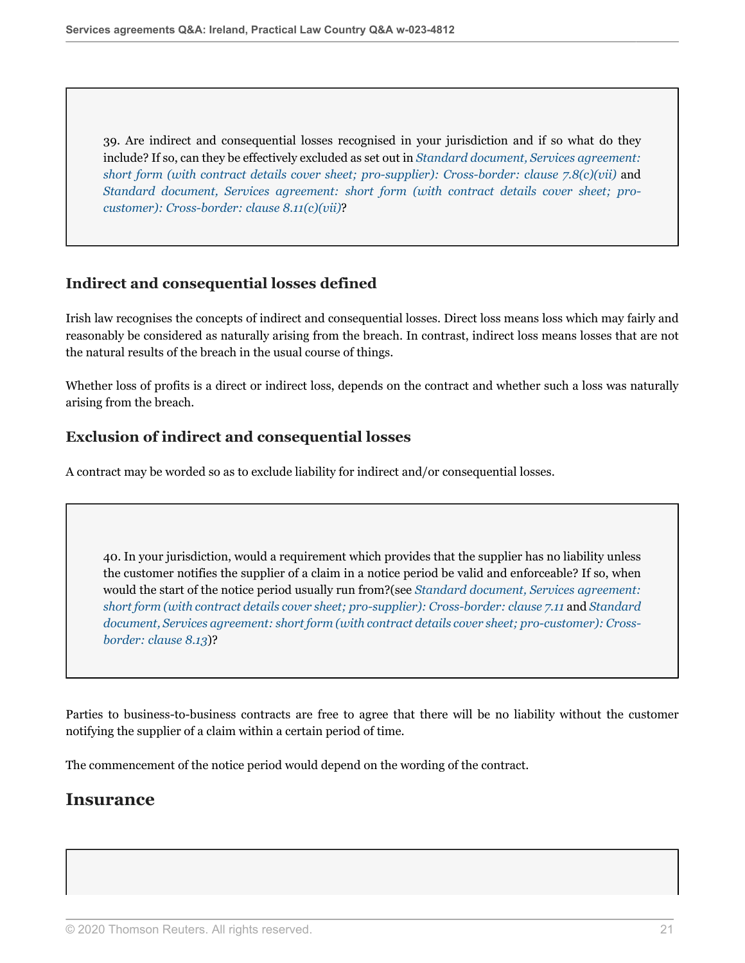39. Are indirect and consequential losses recognised in your jurisdiction and if so what do they include? If so, can they be effectively excluded as set out in *[Standard document, Services agreement:](http://uk.practicallaw.thomsonreuters.com/w-017-0144?originationContext=document&vr=3.0&rs=PLUK1.0&transitionType=DocumentItem&contextData=(sc.Default)#co_anchor_a342733) [short form \(with contract details cover sheet; pro-supplier\): Cross-border: clause 7.8\(c\)\(vii\)](http://uk.practicallaw.thomsonreuters.com/w-017-0144?originationContext=document&vr=3.0&rs=PLUK1.0&transitionType=DocumentItem&contextData=(sc.Default)#co_anchor_a342733)* and *[Standard document, Services agreement: short form \(with contract details cover sheet; pro](http://uk.practicallaw.thomsonreuters.com/w-017-0148?originationContext=document&vr=3.0&rs=PLUK1.0&transitionType=DocumentItem&contextData=(sc.Default)#co_anchor_a342733)[customer\): Cross-border: clause 8.11\(c\)\(vii\)](http://uk.practicallaw.thomsonreuters.com/w-017-0148?originationContext=document&vr=3.0&rs=PLUK1.0&transitionType=DocumentItem&contextData=(sc.Default)#co_anchor_a342733)*?

### **Indirect and consequential losses defined**

Irish law recognises the concepts of indirect and consequential losses. Direct loss means loss which may fairly and reasonably be considered as naturally arising from the breach. In contrast, indirect loss means losses that are not the natural results of the breach in the usual course of things.

Whether loss of profits is a direct or indirect loss, depends on the contract and whether such a loss was naturally arising from the breach.

### **Exclusion of indirect and consequential losses**

A contract may be worded so as to exclude liability for indirect and/or consequential losses.

40. In your jurisdiction, would a requirement which provides that the supplier has no liability unless the customer notifies the supplier of a claim in a notice period be valid and enforceable? If so, when would the start of the notice period usually run from?(see *[Standard document, Services agreement:](http://uk.practicallaw.thomsonreuters.com/w-017-0144?originationContext=document&vr=3.0&rs=PLUK1.0&transitionType=DocumentItem&contextData=(sc.Default)#co_anchor_a114750) [short form \(with contract details cover sheet; pro-supplier\): Cross-border: clause 7.11](http://uk.practicallaw.thomsonreuters.com/w-017-0144?originationContext=document&vr=3.0&rs=PLUK1.0&transitionType=DocumentItem&contextData=(sc.Default)#co_anchor_a114750)* and *[Standard](http://uk.practicallaw.thomsonreuters.com/w-017-0148?originationContext=document&vr=3.0&rs=PLUK1.0&transitionType=DocumentItem&contextData=(sc.Default)#co_anchor_a114750) [document, Services agreement: short form \(with contract details cover sheet; pro-customer\): Cross](http://uk.practicallaw.thomsonreuters.com/w-017-0148?originationContext=document&vr=3.0&rs=PLUK1.0&transitionType=DocumentItem&contextData=(sc.Default)#co_anchor_a114750)[border: clause 8.13](http://uk.practicallaw.thomsonreuters.com/w-017-0148?originationContext=document&vr=3.0&rs=PLUK1.0&transitionType=DocumentItem&contextData=(sc.Default)#co_anchor_a114750)*)?

Parties to business-to-business contracts are free to agree that there will be no liability without the customer notifying the supplier of a claim within a certain period of time.

The commencement of the notice period would depend on the wording of the contract.

## **Insurance**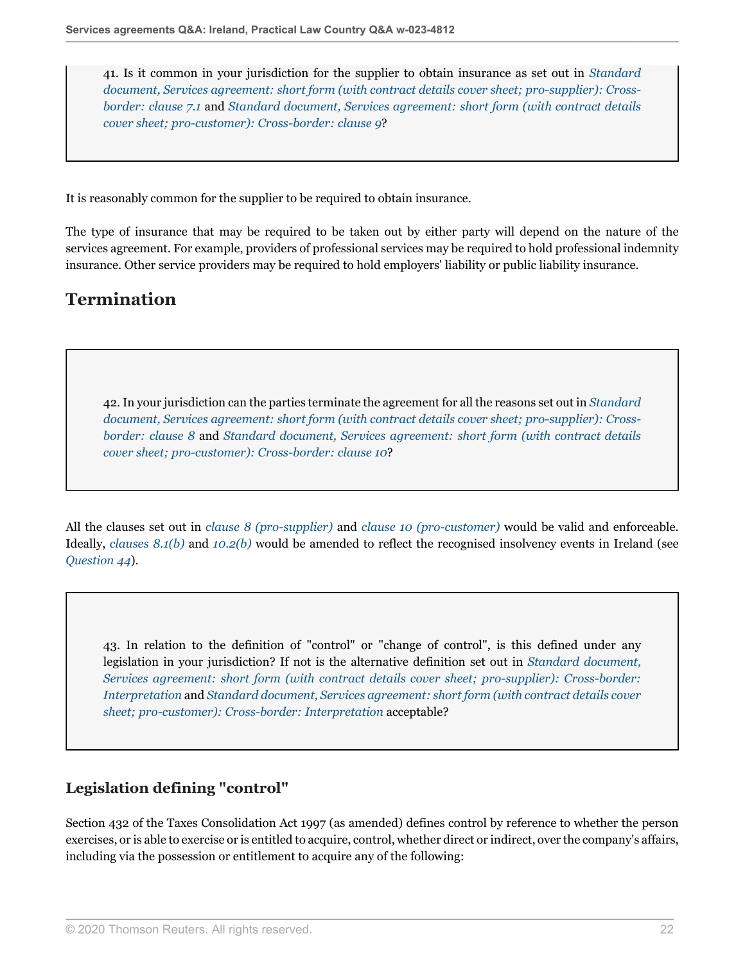41. Is it common in your jurisdiction for the supplier to obtain insurance as set out in *[Standard](http://uk.practicallaw.thomsonreuters.com/w-017-0144?originationContext=document&vr=3.0&rs=PLUK1.0&transitionType=DocumentItem&contextData=(sc.Default)#co_anchor_a848411) [document, Services agreement: short form \(with contract details cover sheet; pro-supplier\): Cross](http://uk.practicallaw.thomsonreuters.com/w-017-0144?originationContext=document&vr=3.0&rs=PLUK1.0&transitionType=DocumentItem&contextData=(sc.Default)#co_anchor_a848411)[border: clause 7.1](http://uk.practicallaw.thomsonreuters.com/w-017-0144?originationContext=document&vr=3.0&rs=PLUK1.0&transitionType=DocumentItem&contextData=(sc.Default)#co_anchor_a848411)* and *[Standard document, Services agreement: short form \(with contract details](http://uk.practicallaw.thomsonreuters.com/w-017-0148?originationContext=document&vr=3.0&rs=PLUK1.0&transitionType=DocumentItem&contextData=(sc.Default)#co_anchor_a763900) [cover sheet; pro-customer\): Cross-border: clause 9](http://uk.practicallaw.thomsonreuters.com/w-017-0148?originationContext=document&vr=3.0&rs=PLUK1.0&transitionType=DocumentItem&contextData=(sc.Default)#co_anchor_a763900)*?

It is reasonably common for the supplier to be required to obtain insurance.

The type of insurance that may be required to be taken out by either party will depend on the nature of the services agreement. For example, providers of professional services may be required to hold professional indemnity insurance. Other service providers may be required to hold employers' liability or public liability insurance.

# **Termination**

42. In your jurisdiction can the parties terminate the agreement for all the reasons set out in *[Standard](http://uk.practicallaw.thomsonreuters.com/w-017-0144?originationContext=document&vr=3.0&rs=PLUK1.0&transitionType=DocumentItem&contextData=(sc.Default)#co_anchor_a544047) [document, Services agreement: short form \(with contract details cover sheet; pro-supplier\): Cross](http://uk.practicallaw.thomsonreuters.com/w-017-0144?originationContext=document&vr=3.0&rs=PLUK1.0&transitionType=DocumentItem&contextData=(sc.Default)#co_anchor_a544047)[border: clause 8](http://uk.practicallaw.thomsonreuters.com/w-017-0144?originationContext=document&vr=3.0&rs=PLUK1.0&transitionType=DocumentItem&contextData=(sc.Default)#co_anchor_a544047)* and *[Standard document, Services agreement: short form \(with contract details](http://uk.practicallaw.thomsonreuters.com/w-017-0148?originationContext=document&vr=3.0&rs=PLUK1.0&transitionType=DocumentItem&contextData=(sc.Default)#co_anchor_a544047) [cover sheet; pro-customer\): Cross-border: clause 10](http://uk.practicallaw.thomsonreuters.com/w-017-0148?originationContext=document&vr=3.0&rs=PLUK1.0&transitionType=DocumentItem&contextData=(sc.Default)#co_anchor_a544047)*?

All the clauses set out in *[clause 8 \(pro-supplier\)](http://uk.practicallaw.thomsonreuters.com/w-017-0144?originationContext=document&vr=3.0&rs=PLUK1.0&transitionType=DocumentItem&contextData=(sc.Default)#co_anchor_a126045)* and *[clause 10 \(pro-customer\)](http://uk.practicallaw.thomsonreuters.com/w-017-0148?originationContext=document&vr=3.0&rs=PLUK1.0&transitionType=DocumentItem&contextData=(sc.Default)#co_anchor_a544047)* would be valid and enforceable. Ideally, *[clauses 8.1\(b\)](http://uk.practicallaw.thomsonreuters.com/w-017-0144?originationContext=document&vr=3.0&rs=PLUK1.0&transitionType=DocumentItem&contextData=(sc.Default)#co_anchor_a711310)* and *[10.2\(b\)](http://uk.practicallaw.thomsonreuters.com/w-017-0148?originationContext=document&vr=3.0&rs=PLUK1.0&transitionType=DocumentItem&contextData=(sc.Default)#co_anchor_a804694)* would be amended to reflect the recognised insolvency events in Ireland (see *[Question 44](#page-22-0)*).

43. In relation to the definition of "control" or "change of control", is this defined under any legislation in your jurisdiction? If not is the alternative definition set out in *[Standard document,](http://uk.practicallaw.thomsonreuters.com/w-017-0144?originationContext=document&vr=3.0&rs=PLUK1.0&transitionType=DocumentItem&contextData=(sc.Default)#co_anchor_a183657) [Services agreement: short form \(with contract details cover sheet; pro-supplier\): Cross-border:](http://uk.practicallaw.thomsonreuters.com/w-017-0144?originationContext=document&vr=3.0&rs=PLUK1.0&transitionType=DocumentItem&contextData=(sc.Default)#co_anchor_a183657) [Interpretation](http://uk.practicallaw.thomsonreuters.com/w-017-0144?originationContext=document&vr=3.0&rs=PLUK1.0&transitionType=DocumentItem&contextData=(sc.Default)#co_anchor_a183657)* and *[Standard document, Services agreement: short form \(with contract details cover](http://uk.practicallaw.thomsonreuters.com/w-017-0148?originationContext=document&vr=3.0&rs=PLUK1.0&transitionType=DocumentItem&contextData=(sc.Default)#co_anchor_a629329) [sheet; pro-customer\): Cross-border: Interpretation](http://uk.practicallaw.thomsonreuters.com/w-017-0148?originationContext=document&vr=3.0&rs=PLUK1.0&transitionType=DocumentItem&contextData=(sc.Default)#co_anchor_a629329)* acceptable?

## **Legislation defining "control"**

Section 432 of the Taxes Consolidation Act 1997 (as amended) defines control by reference to whether the person exercises, or is able to exercise or is entitled to acquire, control, whether direct or indirect, over the company's affairs, including via the possession or entitlement to acquire any of the following: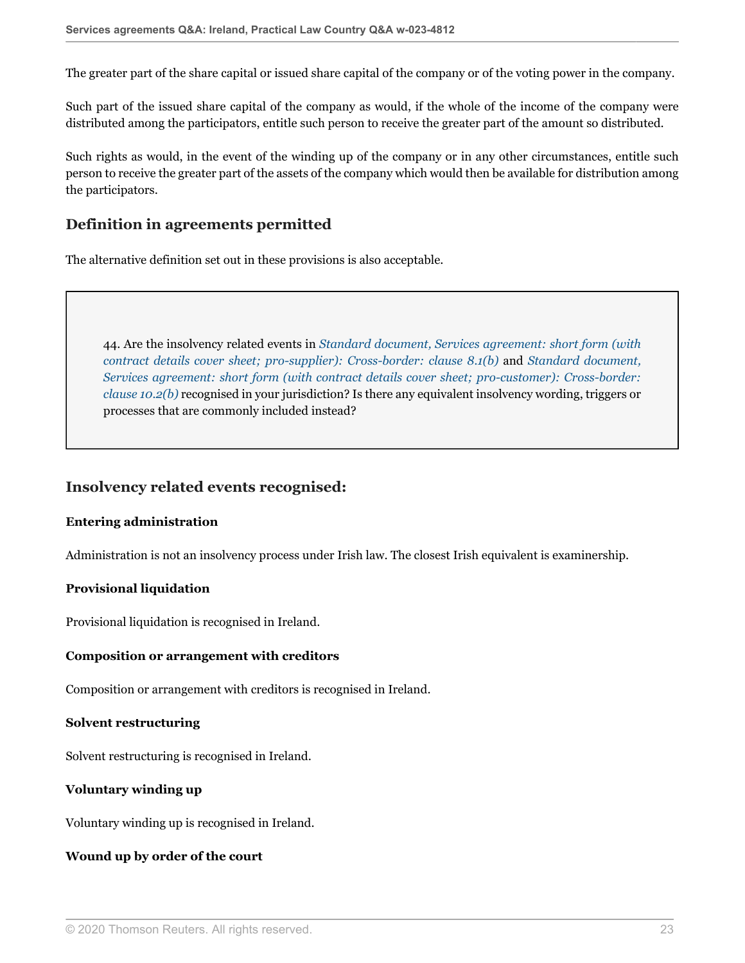The greater part of the share capital or issued share capital of the company or of the voting power in the company.

Such part of the issued share capital of the company as would, if the whole of the income of the company were distributed among the participators, entitle such person to receive the greater part of the amount so distributed.

Such rights as would, in the event of the winding up of the company or in any other circumstances, entitle such person to receive the greater part of the assets of the company which would then be available for distribution among the participators.

### **Definition in agreements permitted**

The alternative definition set out in these provisions is also acceptable.

<span id="page-22-0"></span>44. Are the insolvency related events in *[Standard document, Services agreement: short form \(with](http://uk.practicallaw.thomsonreuters.com/w-017-0144?originationContext=document&vr=3.0&rs=PLUK1.0&transitionType=DocumentItem&contextData=(sc.Default)#co_anchor_a804694) [contract details cover sheet; pro-supplier\): Cross-border: clause 8.1\(b\)](http://uk.practicallaw.thomsonreuters.com/w-017-0144?originationContext=document&vr=3.0&rs=PLUK1.0&transitionType=DocumentItem&contextData=(sc.Default)#co_anchor_a804694)* and *[Standard document,](http://uk.practicallaw.thomsonreuters.com/w-017-0148?originationContext=document&vr=3.0&rs=PLUK1.0&transitionType=DocumentItem&contextData=(sc.Default)#co_anchor_a804694) [Services agreement: short form \(with contract details cover sheet; pro-customer\): Cross-border:](http://uk.practicallaw.thomsonreuters.com/w-017-0148?originationContext=document&vr=3.0&rs=PLUK1.0&transitionType=DocumentItem&contextData=(sc.Default)#co_anchor_a804694) [clause 10.2\(b\)](http://uk.practicallaw.thomsonreuters.com/w-017-0148?originationContext=document&vr=3.0&rs=PLUK1.0&transitionType=DocumentItem&contextData=(sc.Default)#co_anchor_a804694)* recognised in your jurisdiction? Is there any equivalent insolvency wording, triggers or processes that are commonly included instead?

### **Insolvency related events recognised:**

#### **Entering administration**

Administration is not an insolvency process under Irish law. The closest Irish equivalent is examinership.

#### **Provisional liquidation**

Provisional liquidation is recognised in Ireland.

#### **Composition or arrangement with creditors**

Composition or arrangement with creditors is recognised in Ireland.

#### **Solvent restructuring**

Solvent restructuring is recognised in Ireland.

#### **Voluntary winding up**

Voluntary winding up is recognised in Ireland.

#### **Wound up by order of the court**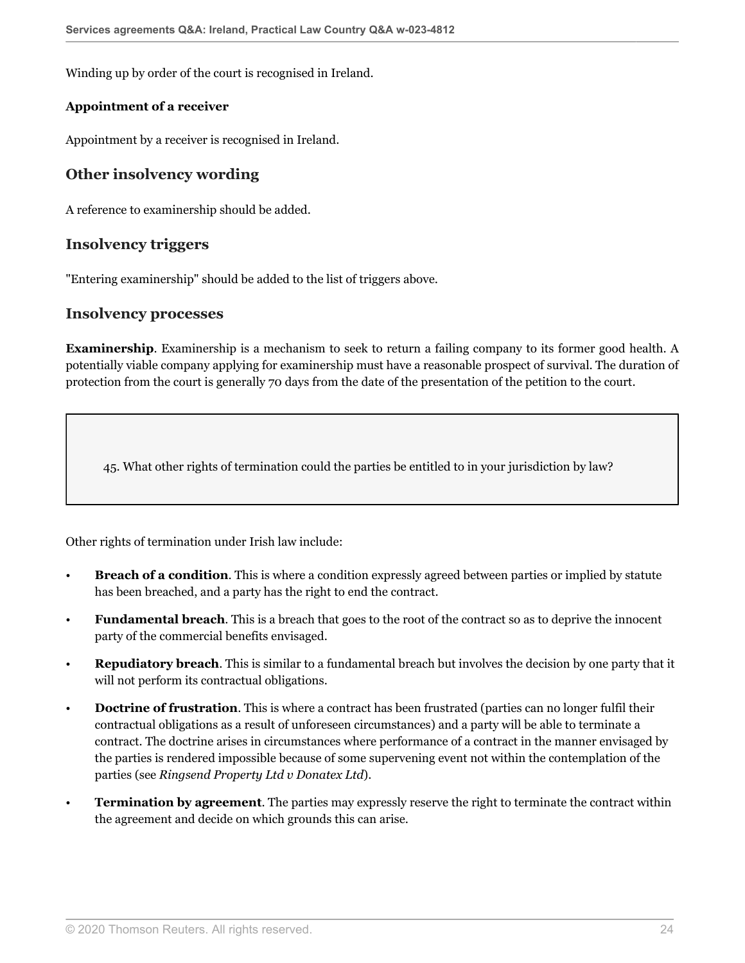Winding up by order of the court is recognised in Ireland.

#### **Appointment of a receiver**

Appointment by a receiver is recognised in Ireland.

### **Other insolvency wording**

A reference to examinership should be added.

#### **Insolvency triggers**

"Entering examinership" should be added to the list of triggers above.

#### **Insolvency processes**

**Examinership**. Examinership is a mechanism to seek to return a failing company to its former good health. A potentially viable company applying for examinership must have a reasonable prospect of survival. The duration of protection from the court is generally 70 days from the date of the presentation of the petition to the court.

<span id="page-23-0"></span>45. What other rights of termination could the parties be entitled to in your jurisdiction by law?

Other rights of termination under Irish law include:

- **Breach of a condition**. This is where a condition expressly agreed between parties or implied by statute has been breached, and a party has the right to end the contract.
- **Fundamental breach**. This is a breach that goes to the root of the contract so as to deprive the innocent party of the commercial benefits envisaged.
- **Repudiatory breach**. This is similar to a fundamental breach but involves the decision by one party that it will not perform its contractual obligations.
- **Doctrine of frustration**. This is where a contract has been frustrated (parties can no longer fulfil their contractual obligations as a result of unforeseen circumstances) and a party will be able to terminate a contract. The doctrine arises in circumstances where performance of a contract in the manner envisaged by the parties is rendered impossible because of some supervening event not within the contemplation of the parties (see *Ringsend Property Ltd v Donatex Ltd*).
- **Termination by agreement**. The parties may expressly reserve the right to terminate the contract within the agreement and decide on which grounds this can arise.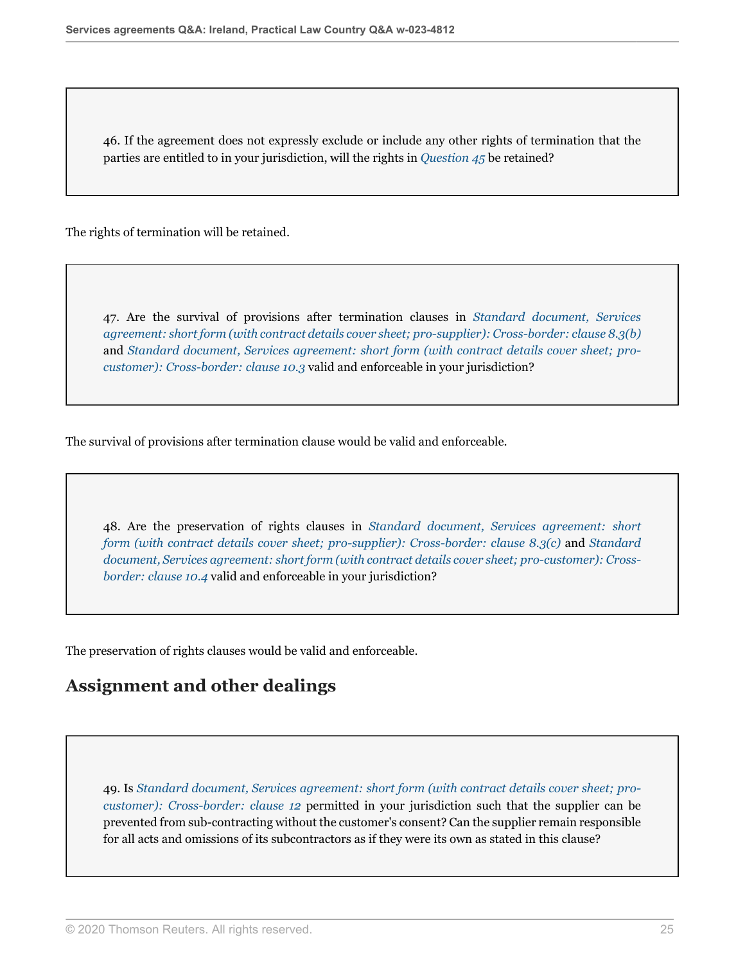46. If the agreement does not expressly exclude or include any other rights of termination that the parties are entitled to in your jurisdiction, will the rights in *[Question 45](#page-23-0)* be retained?

The rights of termination will be retained.

47. Are the survival of provisions after termination clauses in *[Standard document, Services](http://uk.practicallaw.thomsonreuters.com/w-017-0144?originationContext=document&vr=3.0&rs=PLUK1.0&transitionType=DocumentItem&contextData=(sc.Default)#co_anchor_a448379) [agreement: short form \(with contract details cover sheet; pro-supplier\): Cross-border: clause 8.3\(b\)](http://uk.practicallaw.thomsonreuters.com/w-017-0144?originationContext=document&vr=3.0&rs=PLUK1.0&transitionType=DocumentItem&contextData=(sc.Default)#co_anchor_a448379)* and *[Standard document, Services agreement: short form \(with contract details cover sheet; pro](http://uk.practicallaw.thomsonreuters.com/w-017-0148?originationContext=document&vr=3.0&rs=PLUK1.0&transitionType=DocumentItem&contextData=(sc.Default)#co_anchor_a865670)[customer\): Cross-border: clause 10.3](http://uk.practicallaw.thomsonreuters.com/w-017-0148?originationContext=document&vr=3.0&rs=PLUK1.0&transitionType=DocumentItem&contextData=(sc.Default)#co_anchor_a865670)* valid and enforceable in your jurisdiction?

The survival of provisions after termination clause would be valid and enforceable.

48. Are the preservation of rights clauses in *[Standard document, Services agreement: short](http://uk.practicallaw.thomsonreuters.com/w-017-0144?originationContext=document&vr=3.0&rs=PLUK1.0&transitionType=DocumentItem&contextData=(sc.Default)#co_anchor_a284573) [form \(with contract details cover sheet; pro-supplier\): Cross-border: clause 8.3\(c\)](http://uk.practicallaw.thomsonreuters.com/w-017-0144?originationContext=document&vr=3.0&rs=PLUK1.0&transitionType=DocumentItem&contextData=(sc.Default)#co_anchor_a284573)* and *[Standard](http://uk.practicallaw.thomsonreuters.com/w-017-0148?originationContext=document&vr=3.0&rs=PLUK1.0&transitionType=DocumentItem&contextData=(sc.Default)#co_anchor_a525432) [document, Services agreement: short form \(with contract details cover sheet; pro-customer\): Cross](http://uk.practicallaw.thomsonreuters.com/w-017-0148?originationContext=document&vr=3.0&rs=PLUK1.0&transitionType=DocumentItem&contextData=(sc.Default)#co_anchor_a525432)[border: clause 10.4](http://uk.practicallaw.thomsonreuters.com/w-017-0148?originationContext=document&vr=3.0&rs=PLUK1.0&transitionType=DocumentItem&contextData=(sc.Default)#co_anchor_a525432)* valid and enforceable in your jurisdiction?

The preservation of rights clauses would be valid and enforceable.

## **Assignment and other dealings**

49. Is *[Standard document, Services agreement: short form \(with contract details cover sheet; pro](http://uk.practicallaw.thomsonreuters.com/w-017-0148?originationContext=document&vr=3.0&rs=PLUK1.0&transitionType=DocumentItem&contextData=(sc.Default)#co_anchor_a212564)[customer\): Cross-border: clause 12](http://uk.practicallaw.thomsonreuters.com/w-017-0148?originationContext=document&vr=3.0&rs=PLUK1.0&transitionType=DocumentItem&contextData=(sc.Default)#co_anchor_a212564)* permitted in your jurisdiction such that the supplier can be prevented from sub-contracting without the customer's consent? Can the supplier remain responsible for all acts and omissions of its subcontractors as if they were its own as stated in this clause?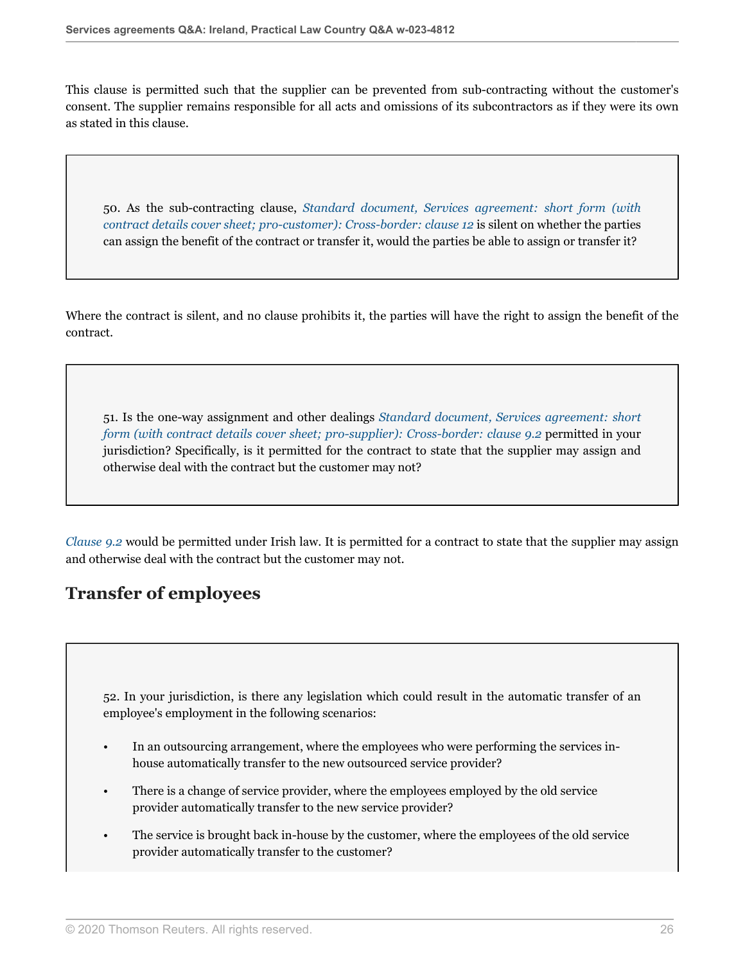This clause is permitted such that the supplier can be prevented from sub-contracting without the customer's consent. The supplier remains responsible for all acts and omissions of its subcontractors as if they were its own as stated in this clause.

50. As the sub-contracting clause, *[Standard document, Services agreement: short form \(with](http://uk.practicallaw.thomsonreuters.com/w-017-0148?originationContext=document&vr=3.0&rs=PLUK1.0&transitionType=DocumentItem&contextData=(sc.Default)#co_anchor_a212564) [contract details cover sheet; pro-customer\): Cross-border: clause 12](http://uk.practicallaw.thomsonreuters.com/w-017-0148?originationContext=document&vr=3.0&rs=PLUK1.0&transitionType=DocumentItem&contextData=(sc.Default)#co_anchor_a212564)* is silent on whether the parties can assign the benefit of the contract or transfer it, would the parties be able to assign or transfer it?

Where the contract is silent, and no clause prohibits it, the parties will have the right to assign the benefit of the contract.

51. Is the one-way assignment and other dealings *[Standard document, Services agreement: short](http://uk.practicallaw.thomsonreuters.com/w-017-0144?originationContext=document&vr=3.0&rs=PLUK1.0&transitionType=DocumentItem&contextData=(sc.Default)#co_anchor_a440517) [form \(with contract details cover sheet; pro-supplier\): Cross-border: clause 9.2](http://uk.practicallaw.thomsonreuters.com/w-017-0144?originationContext=document&vr=3.0&rs=PLUK1.0&transitionType=DocumentItem&contextData=(sc.Default)#co_anchor_a440517)* permitted in your jurisdiction? Specifically, is it permitted for the contract to state that the supplier may assign and otherwise deal with the contract but the customer may not?

*[Clause 9.2](http://uk.practicallaw.thomsonreuters.com/w-017-0144?originationContext=document&vr=3.0&rs=PLUK1.0&transitionType=DocumentItem&contextData=(sc.Default)#co_anchor_a949176)* would be permitted under Irish law. It is permitted for a contract to state that the supplier may assign and otherwise deal with the contract but the customer may not.

# **Transfer of employees**

<span id="page-25-0"></span>52. In your jurisdiction, is there any legislation which could result in the automatic transfer of an employee's employment in the following scenarios:

- In an outsourcing arrangement, where the employees who were performing the services inhouse automatically transfer to the new outsourced service provider?
- There is a change of service provider, where the employees employed by the old service provider automatically transfer to the new service provider?
- The service is brought back in-house by the customer, where the employees of the old service provider automatically transfer to the customer?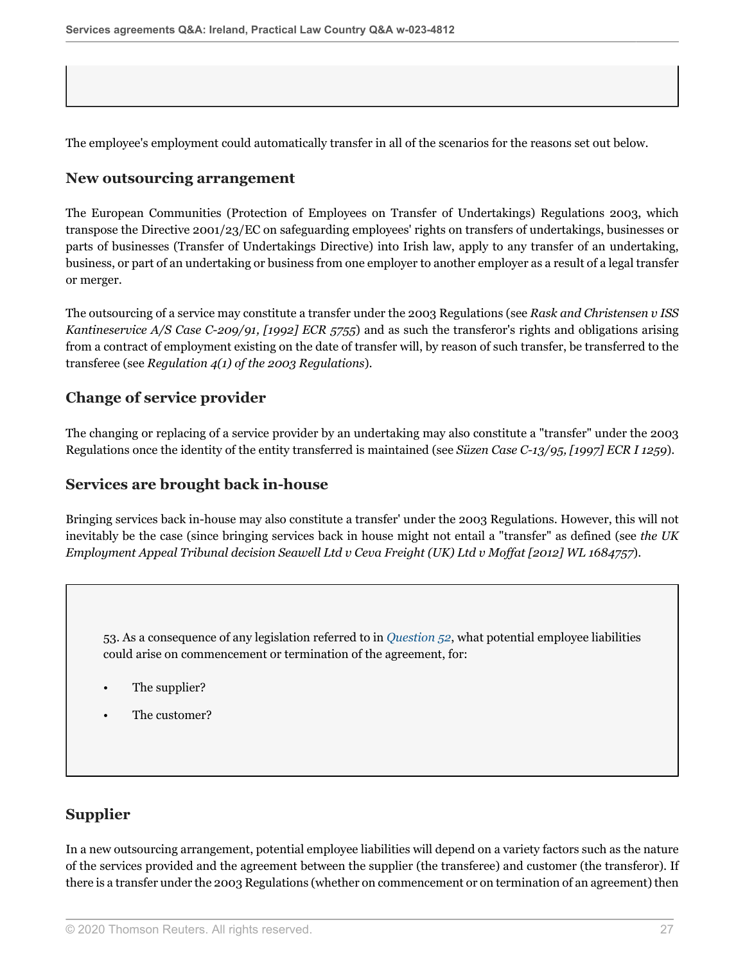The employee's employment could automatically transfer in all of the scenarios for the reasons set out below.

#### **New outsourcing arrangement**

The European Communities (Protection of Employees on Transfer of Undertakings) Regulations 2003, which transpose the Directive 2001/23/EC on safeguarding employees' rights on transfers of undertakings, businesses or parts of businesses (Transfer of Undertakings Directive) into Irish law, apply to any transfer of an undertaking, business, or part of an undertaking or business from one employer to another employer as a result of a legal transfer or merger.

The outsourcing of a service may constitute a transfer under the 2003 Regulations (see *Rask and Christensen v ISS Kantineservice A/S Case C-209/91, [1992] ECR 5755*) and as such the transferor's rights and obligations arising from a contract of employment existing on the date of transfer will, by reason of such transfer, be transferred to the transferee (see *Regulation 4(1) of the 2003 Regulations*).

#### **Change of service provider**

The changing or replacing of a service provider by an undertaking may also constitute a "transfer" under the 2003 Regulations once the identity of the entity transferred is maintained (see *Süzen Case C-13/95, [1997] ECR I 1259*).

#### **Services are brought back in-house**

Bringing services back in-house may also constitute a transfer' under the 2003 Regulations. However, this will not inevitably be the case (since bringing services back in house might not entail a "transfer" as defined (see *the UK Employment Appeal Tribunal decision Seawell Ltd v Ceva Freight (UK) Ltd v Moffat [2012] WL 1684757*).

53. As a consequence of any legislation referred to in *[Question 52](#page-25-0)*, what potential employee liabilities could arise on commencement or termination of the agreement, for:

- The supplier?
- The customer?

#### **Supplier**

In a new outsourcing arrangement, potential employee liabilities will depend on a variety factors such as the nature of the services provided and the agreement between the supplier (the transferee) and customer (the transferor). If there is a transfer under the 2003 Regulations (whether on commencement or on termination of an agreement) then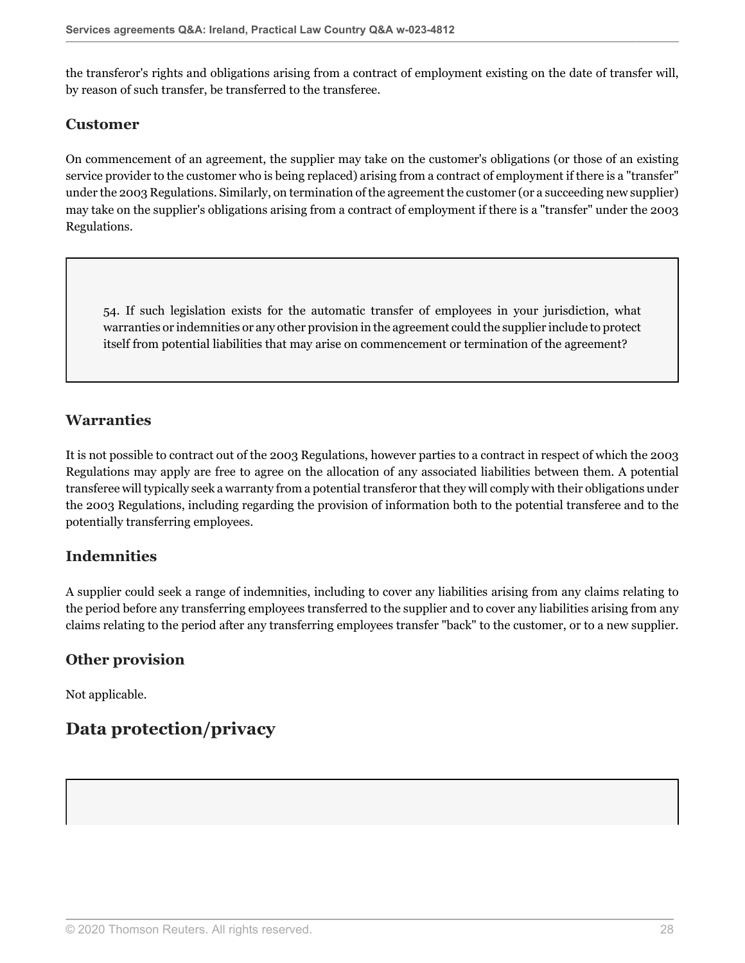the transferor's rights and obligations arising from a contract of employment existing on the date of transfer will, by reason of such transfer, be transferred to the transferee.

### **Customer**

On commencement of an agreement, the supplier may take on the customer's obligations (or those of an existing service provider to the customer who is being replaced) arising from a contract of employment if there is a "transfer" under the 2003 Regulations. Similarly, on termination of the agreement the customer (or a succeeding new supplier) may take on the supplier's obligations arising from a contract of employment if there is a "transfer" under the 2003 Regulations.

54. If such legislation exists for the automatic transfer of employees in your jurisdiction, what warranties or indemnities or any other provision in the agreement could the supplier include to protect itself from potential liabilities that may arise on commencement or termination of the agreement?

### **Warranties**

It is not possible to contract out of the 2003 Regulations, however parties to a contract in respect of which the 2003 Regulations may apply are free to agree on the allocation of any associated liabilities between them. A potential transferee will typically seek a warranty from a potential transferor that they will comply with their obligations under the 2003 Regulations, including regarding the provision of information both to the potential transferee and to the potentially transferring employees.

## **Indemnities**

A supplier could seek a range of indemnities, including to cover any liabilities arising from any claims relating to the period before any transferring employees transferred to the supplier and to cover any liabilities arising from any claims relating to the period after any transferring employees transfer "back" to the customer, or to a new supplier.

## **Other provision**

Not applicable.

# **Data protection/privacy**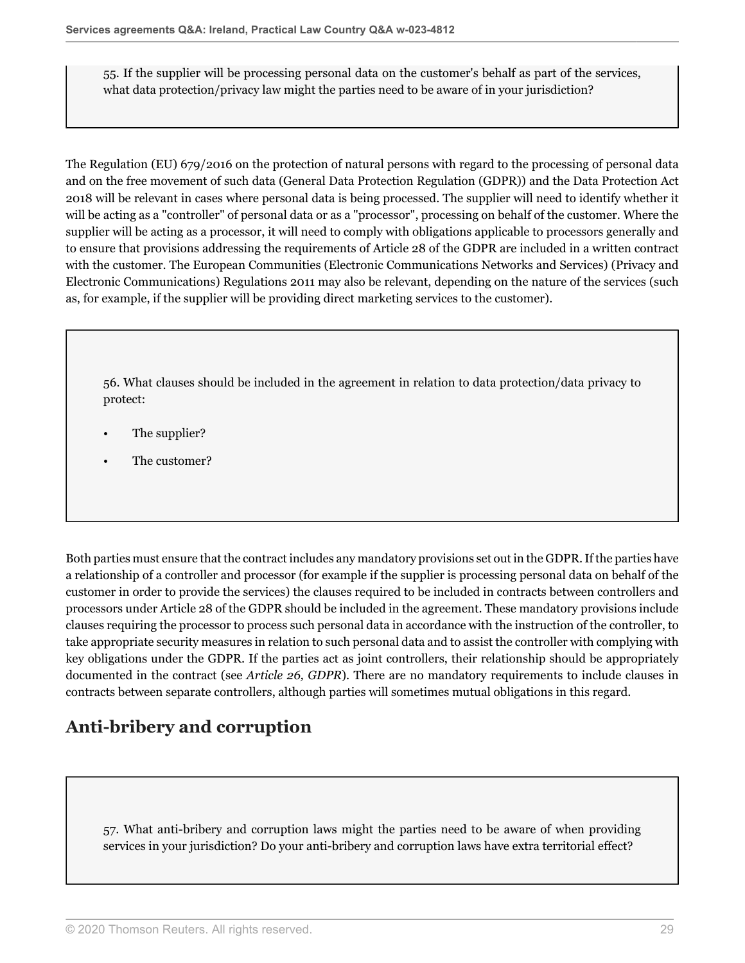55. If the supplier will be processing personal data on the customer's behalf as part of the services, what data protection/privacy law might the parties need to be aware of in your jurisdiction?

The Regulation (EU) 679/2016 on the protection of natural persons with regard to the processing of personal data and on the free movement of such data (General Data Protection Regulation (GDPR)) and the Data Protection Act 2018 will be relevant in cases where personal data is being processed. The supplier will need to identify whether it will be acting as a "controller" of personal data or as a "processor", processing on behalf of the customer. Where the supplier will be acting as a processor, it will need to comply with obligations applicable to processors generally and to ensure that provisions addressing the requirements of Article 28 of the GDPR are included in a written contract with the customer. The European Communities (Electronic Communications Networks and Services) (Privacy and Electronic Communications) Regulations 2011 may also be relevant, depending on the nature of the services (such as, for example, if the supplier will be providing direct marketing services to the customer).

56. What clauses should be included in the agreement in relation to data protection/data privacy to protect:

- The supplier?
- The customer?

Both parties must ensure that the contract includes any mandatory provisions set out in the GDPR. If the parties have a relationship of a controller and processor (for example if the supplier is processing personal data on behalf of the customer in order to provide the services) the clauses required to be included in contracts between controllers and processors under Article 28 of the GDPR should be included in the agreement. These mandatory provisions include clauses requiring the processor to process such personal data in accordance with the instruction of the controller, to take appropriate security measures in relation to such personal data and to assist the controller with complying with key obligations under the GDPR. If the parties act as joint controllers, their relationship should be appropriately documented in the contract (see *Article 26, GDPR*). There are no mandatory requirements to include clauses in contracts between separate controllers, although parties will sometimes mutual obligations in this regard.

# **Anti-bribery and corruption**

57. What anti-bribery and corruption laws might the parties need to be aware of when providing services in your jurisdiction? Do your anti-bribery and corruption laws have extra territorial effect?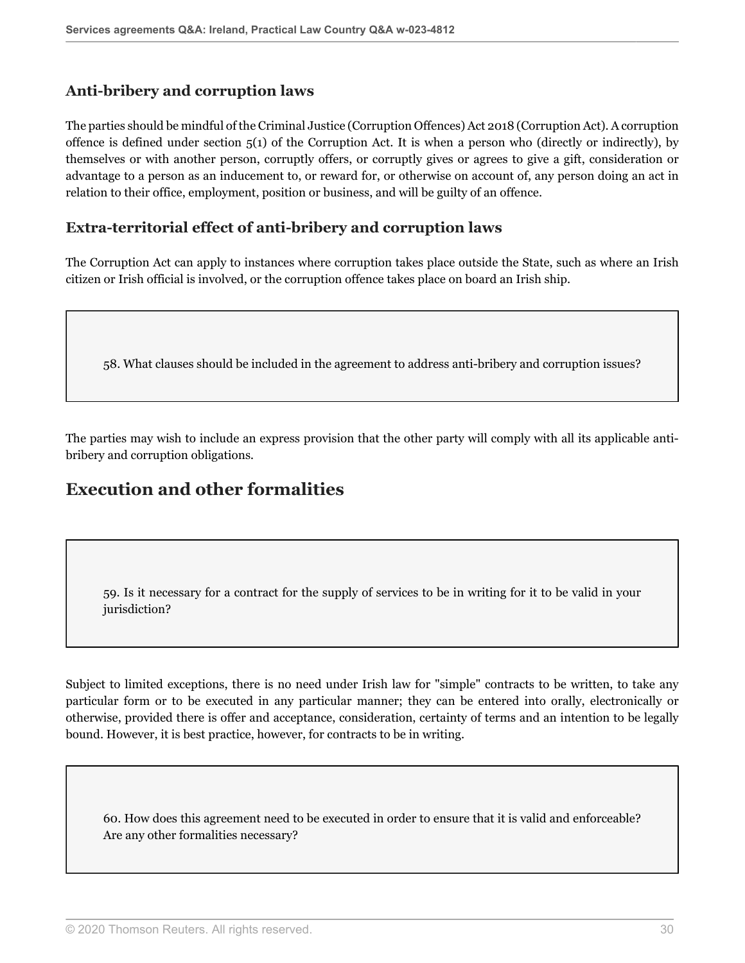### **Anti-bribery and corruption laws**

The parties should be mindful of the Criminal Justice (Corruption Offences) Act 2018 (Corruption Act). A corruption offence is defined under section  $5(1)$  of the Corruption Act. It is when a person who (directly or indirectly), by themselves or with another person, corruptly offers, or corruptly gives or agrees to give a gift, consideration or advantage to a person as an inducement to, or reward for, or otherwise on account of, any person doing an act in relation to their office, employment, position or business, and will be guilty of an offence.

### **Extra-territorial effect of anti-bribery and corruption laws**

The Corruption Act can apply to instances where corruption takes place outside the State, such as where an Irish citizen or Irish official is involved, or the corruption offence takes place on board an Irish ship.

58. What clauses should be included in the agreement to address anti-bribery and corruption issues?

The parties may wish to include an express provision that the other party will comply with all its applicable antibribery and corruption obligations*.*

# **Execution and other formalities**

<span id="page-29-0"></span>59. Is it necessary for a contract for the supply of services to be in writing for it to be valid in your jurisdiction?

Subject to limited exceptions, there is no need under Irish law for "simple" contracts to be written, to take any particular form or to be executed in any particular manner; they can be entered into orally, electronically or otherwise, provided there is offer and acceptance, consideration, certainty of terms and an intention to be legally bound. However, it is best practice, however, for contracts to be in writing.

60. How does this agreement need to be executed in order to ensure that it is valid and enforceable? Are any other formalities necessary?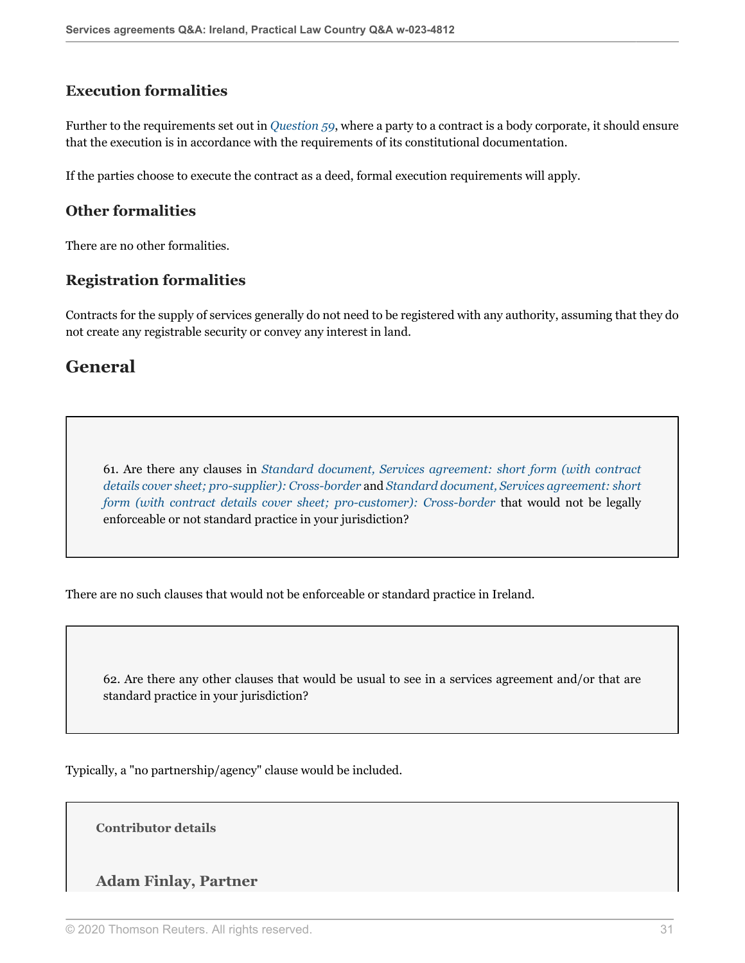## **Execution formalities**

Further to the requirements set out in *[Question 59](#page-29-0)*, where a party to a contract is a body corporate, it should ensure that the execution is in accordance with the requirements of its constitutional documentation.

If the parties choose to execute the contract as a deed, formal execution requirements will apply.

#### **Other formalities**

There are no other formalities.

### **Registration formalities**

Contracts for the supply of services generally do not need to be registered with any authority, assuming that they do not create any registrable security or convey any interest in land.

## **General**

61. Are there any clauses in *[Standard document, Services agreement: short form \(with contract](http://uk.practicallaw.thomsonreuters.com/w-017-0144?originationContext=document&vr=3.0&rs=PLUK1.0&transitionType=DocumentItem&contextData=(sc.Default)) [details cover sheet; pro-supplier\): Cross-border](http://uk.practicallaw.thomsonreuters.com/w-017-0144?originationContext=document&vr=3.0&rs=PLUK1.0&transitionType=DocumentItem&contextData=(sc.Default))* and *[Standard document, Services agreement: short](http://uk.practicallaw.thomsonreuters.com/w-017-0148?originationContext=document&vr=3.0&rs=PLUK1.0&transitionType=DocumentItem&contextData=(sc.Default)) [form \(with contract details cover sheet; pro-customer\): Cross-border](http://uk.practicallaw.thomsonreuters.com/w-017-0148?originationContext=document&vr=3.0&rs=PLUK1.0&transitionType=DocumentItem&contextData=(sc.Default))* that would not be legally enforceable or not standard practice in your jurisdiction?

There are no such clauses that would not be enforceable or standard practice in Ireland.

62. Are there any other clauses that would be usual to see in a services agreement and/or that are standard practice in your jurisdiction?

Typically, a "no partnership/agency" clause would be included.

**Contributor details**

#### **Adam Finlay, Partner**